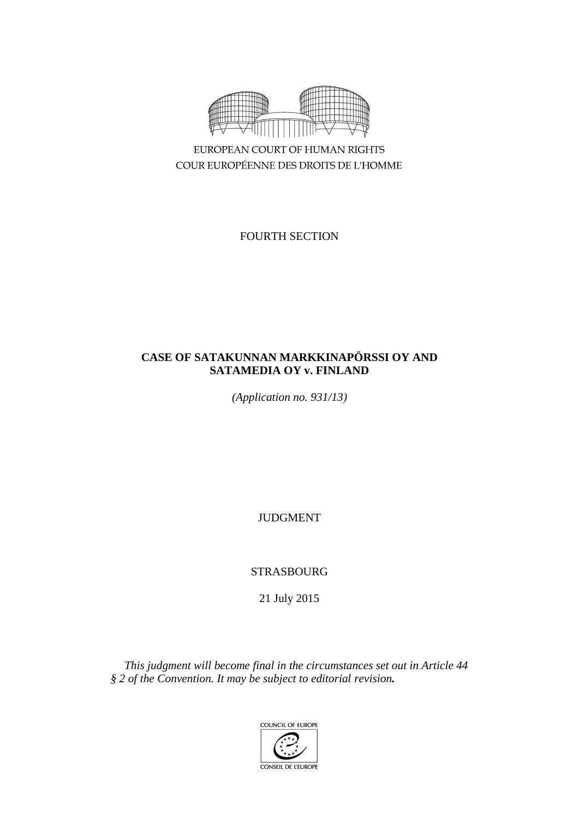

EUROPEAN COURT OF HUMAN RIGHTS COUR EUROPÉENNE DES DROITS DE L'HOMME

FOURTH SECTION

# **CASE OF SATAKUNNAN MARKKINAPÖRSSI OY AND SATAMEDIA OY v. FINLAND**

*(Application no. 931/13)*

**JUDGMENT** 

STRASBOURG

21 July 2015

*This judgment will become final in the circumstances set out in Article 44 § 2 of the Convention. It may be subject to editorial revision.*

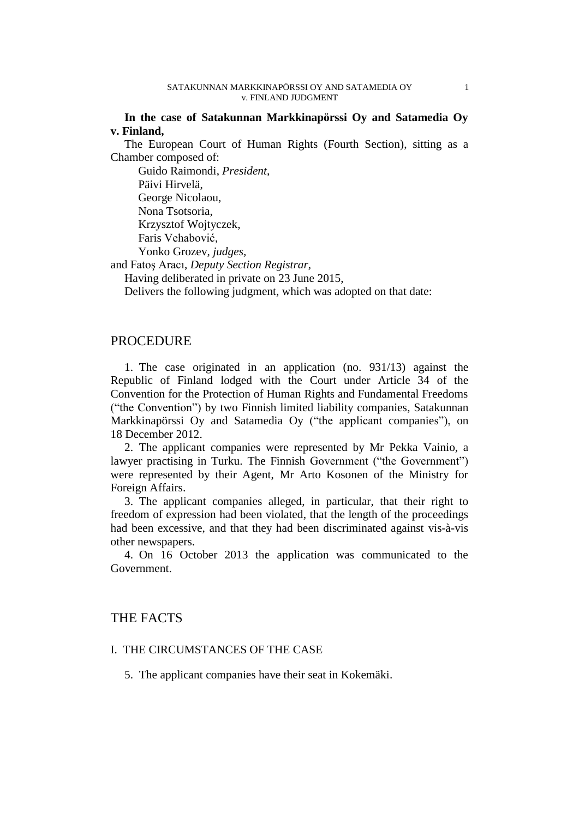**In the case of Satakunnan Markkinapörssi Oy and Satamedia Oy v. Finland,**

The European Court of Human Rights (Fourth Section), sitting as a Chamber composed of:

Guido Raimondi, *President,* Päivi Hirvelä, George Nicolaou, Nona Tsotsoria, Krzysztof Wojtyczek, Faris Vehabović, Yonko Grozev, *judges,*

and Fatoş Aracı, *Deputy Section Registrar,*

Having deliberated in private on 23 June 2015,

Delivers the following judgment, which was adopted on that date:

## **PROCEDURE**

1. The case originated in an application (no. 931/13) against the Republic of Finland lodged with the Court under Article 34 of the Convention for the Protection of Human Rights and Fundamental Freedoms ("the Convention") by two Finnish limited liability companies, Satakunnan Markkinapörssi Oy and Satamedia Oy ("the applicant companies"), on 18 December 2012.

2. The applicant companies were represented by Mr Pekka Vainio, a lawyer practising in Turku. The Finnish Government ("the Government") were represented by their Agent, Mr Arto Kosonen of the Ministry for Foreign Affairs.

3. The applicant companies alleged, in particular, that their right to freedom of expression had been violated, that the length of the proceedings had been excessive, and that they had been discriminated against vis-à-vis other newspapers.

4. On 16 October 2013 the application was communicated to the Government.

# THE FACTS

### I. THE CIRCUMSTANCES OF THE CASE

5. The applicant companies have their seat in Kokemäki.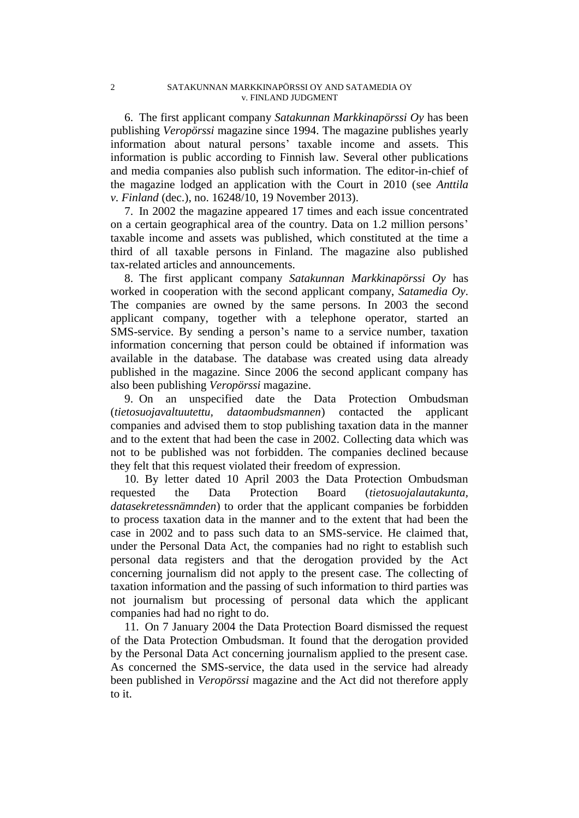6. The first applicant company *Satakunnan Markkinapörssi Oy* has been publishing *Veropörssi* magazine since 1994. The magazine publishes yearly information about natural persons' taxable income and assets. This information is public according to Finnish law. Several other publications and media companies also publish such information. The editor-in-chief of the magazine lodged an application with the Court in 2010 (see *Anttila v. Finland* (dec.), no. 16248/10, 19 November 2013).

7. In 2002 the magazine appeared 17 times and each issue concentrated on a certain geographical area of the country. Data on 1.2 million persons' taxable income and assets was published, which constituted at the time a third of all taxable persons in Finland. The magazine also published tax-related articles and announcements.

8. The first applicant company *Satakunnan Markkinapörssi Oy* has worked in cooperation with the second applicant company, *Satamedia Oy*. The companies are owned by the same persons. In 2003 the second applicant company, together with a telephone operator, started an SMS-service. By sending a person's name to a service number, taxation information concerning that person could be obtained if information was available in the database. The database was created using data already published in the magazine. Since 2006 the second applicant company has also been publishing *Veropörssi* magazine.

9. On an unspecified date the Data Protection Ombudsman (*tietosuojavaltuutettu, dataombudsmannen*) contacted the applicant companies and advised them to stop publishing taxation data in the manner and to the extent that had been the case in 2002. Collecting data which was not to be published was not forbidden. The companies declined because they felt that this request violated their freedom of expression.

10. By letter dated 10 April 2003 the Data Protection Ombudsman requested the Data Protection Board (*tietosuojalautakunta, datasekretessnämnden*) to order that the applicant companies be forbidden to process taxation data in the manner and to the extent that had been the case in 2002 and to pass such data to an SMS-service. He claimed that, under the Personal Data Act, the companies had no right to establish such personal data registers and that the derogation provided by the Act concerning journalism did not apply to the present case. The collecting of taxation information and the passing of such information to third parties was not journalism but processing of personal data which the applicant companies had had no right to do.

11. On 7 January 2004 the Data Protection Board dismissed the request of the Data Protection Ombudsman. It found that the derogation provided by the Personal Data Act concerning journalism applied to the present case. As concerned the SMS-service, the data used in the service had already been published in *Veropörssi* magazine and the Act did not therefore apply to it.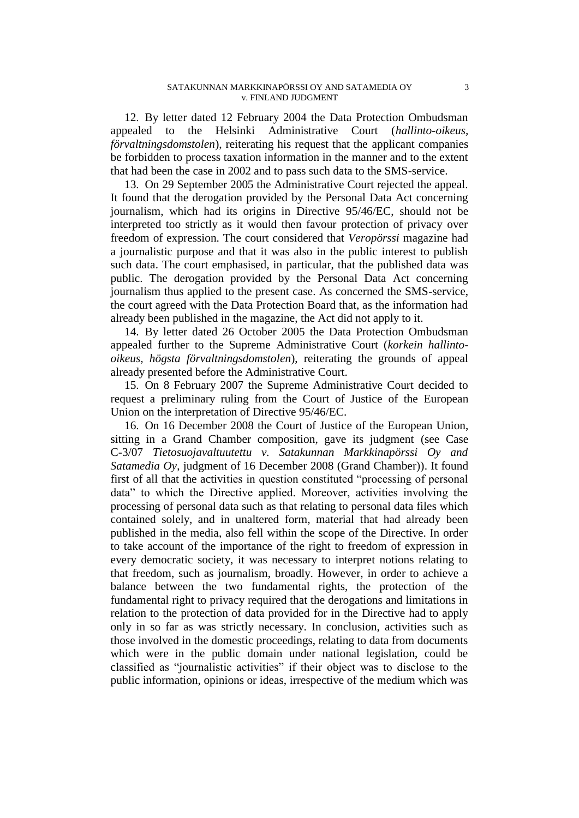12. By letter dated 12 February 2004 the Data Protection Ombudsman appealed to the Helsinki Administrative Court (*hallinto-oikeus, förvaltningsdomstolen*), reiterating his request that the applicant companies be forbidden to process taxation information in the manner and to the extent that had been the case in 2002 and to pass such data to the SMS-service.

13. On 29 September 2005 the Administrative Court rejected the appeal. It found that the derogation provided by the Personal Data Act concerning journalism, which had its origins in Directive 95/46/EC, should not be interpreted too strictly as it would then favour protection of privacy over freedom of expression. The court considered that *Veropörssi* magazine had a journalistic purpose and that it was also in the public interest to publish such data. The court emphasised, in particular, that the published data was public. The derogation provided by the Personal Data Act concerning journalism thus applied to the present case. As concerned the SMS-service, the court agreed with the Data Protection Board that, as the information had already been published in the magazine, the Act did not apply to it.

14. By letter dated 26 October 2005 the Data Protection Ombudsman appealed further to the Supreme Administrative Court (*korkein hallintooikeus, högsta förvaltningsdomstolen*), reiterating the grounds of appeal already presented before the Administrative Court.

15. On 8 February 2007 the Supreme Administrative Court decided to request a preliminary ruling from the Court of Justice of the European Union on the interpretation of Directive 95/46/EC.

16. On 16 December 2008 the Court of Justice of the European Union, sitting in a Grand Chamber composition, gave its judgment (see Case C-3/07 *Tietosuojavaltuutettu v. Satakunnan Markkinapörssi Oy and Satamedia Oy*, judgment of 16 December 2008 (Grand Chamber)). It found first of all that the activities in question constituted "processing of personal data" to which the Directive applied. Moreover, activities involving the processing of personal data such as that relating to personal data files which contained solely, and in unaltered form, material that had already been published in the media, also fell within the scope of the Directive. In order to take account of the importance of the right to freedom of expression in every democratic society, it was necessary to interpret notions relating to that freedom, such as journalism, broadly. However, in order to achieve a balance between the two fundamental rights, the protection of the fundamental right to privacy required that the derogations and limitations in relation to the protection of data provided for in the Directive had to apply only in so far as was strictly necessary. In conclusion, activities such as those involved in the domestic proceedings, relating to data from documents which were in the public domain under national legislation, could be classified as "journalistic activities" if their object was to disclose to the public information, opinions or ideas, irrespective of the medium which was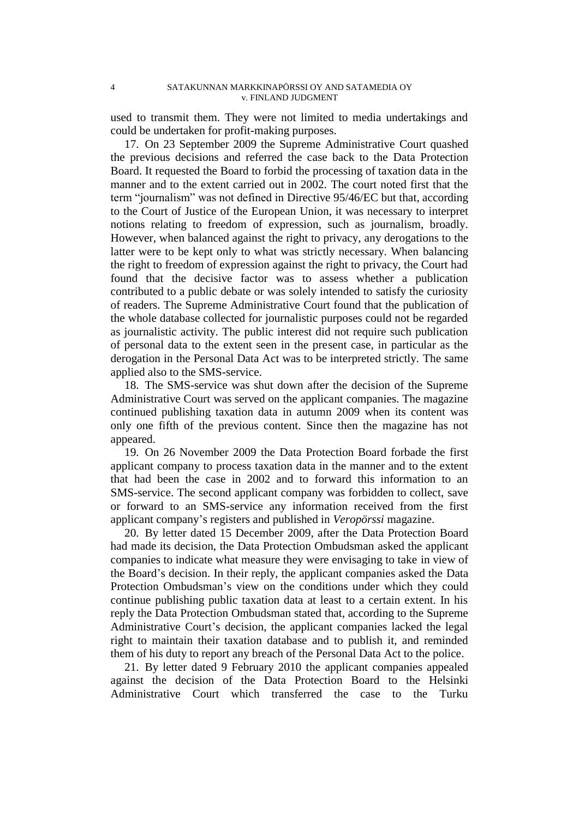used to transmit them. They were not limited to media undertakings and could be undertaken for profit-making purposes.

17. On 23 September 2009 the Supreme Administrative Court quashed the previous decisions and referred the case back to the Data Protection Board. It requested the Board to forbid the processing of taxation data in the manner and to the extent carried out in 2002. The court noted first that the term "journalism" was not defined in Directive 95/46/EC but that, according to the Court of Justice of the European Union, it was necessary to interpret notions relating to freedom of expression, such as journalism, broadly. However, when balanced against the right to privacy, any derogations to the latter were to be kept only to what was strictly necessary. When balancing the right to freedom of expression against the right to privacy, the Court had found that the decisive factor was to assess whether a publication contributed to a public debate or was solely intended to satisfy the curiosity of readers. The Supreme Administrative Court found that the publication of the whole database collected for journalistic purposes could not be regarded as journalistic activity. The public interest did not require such publication of personal data to the extent seen in the present case, in particular as the derogation in the Personal Data Act was to be interpreted strictly. The same applied also to the SMS-service.

18. The SMS-service was shut down after the decision of the Supreme Administrative Court was served on the applicant companies. The magazine continued publishing taxation data in autumn 2009 when its content was only one fifth of the previous content. Since then the magazine has not appeared.

19. On 26 November 2009 the Data Protection Board forbade the first applicant company to process taxation data in the manner and to the extent that had been the case in 2002 and to forward this information to an SMS-service. The second applicant company was forbidden to collect, save or forward to an SMS-service any information received from the first applicant company's registers and published in *Veropörssi* magazine.

20. By letter dated 15 December 2009, after the Data Protection Board had made its decision, the Data Protection Ombudsman asked the applicant companies to indicate what measure they were envisaging to take in view of the Board's decision. In their reply, the applicant companies asked the Data Protection Ombudsman's view on the conditions under which they could continue publishing public taxation data at least to a certain extent. In his reply the Data Protection Ombudsman stated that, according to the Supreme Administrative Court's decision, the applicant companies lacked the legal right to maintain their taxation database and to publish it, and reminded them of his duty to report any breach of the Personal Data Act to the police.

21. By letter dated 9 February 2010 the applicant companies appealed against the decision of the Data Protection Board to the Helsinki Administrative Court which transferred the case to the Turku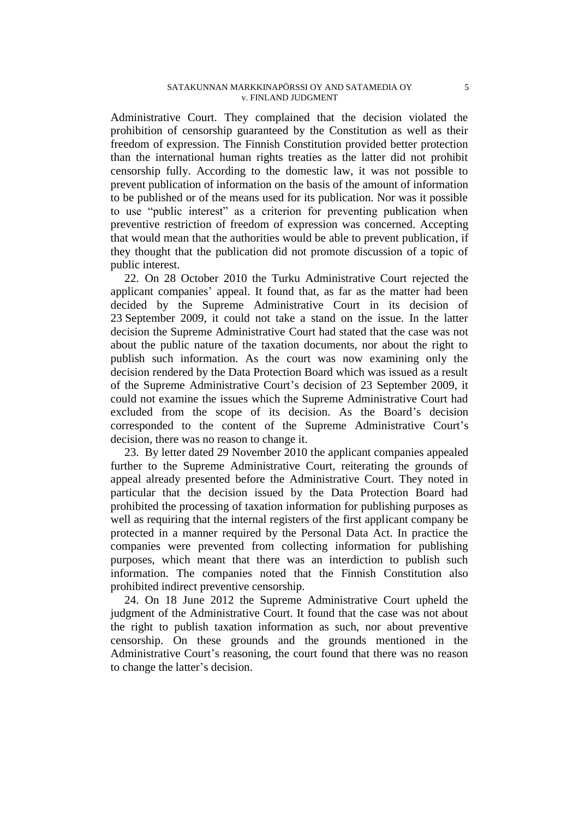Administrative Court. They complained that the decision violated the prohibition of censorship guaranteed by the Constitution as well as their freedom of expression. The Finnish Constitution provided better protection than the international human rights treaties as the latter did not prohibit censorship fully. According to the domestic law, it was not possible to prevent publication of information on the basis of the amount of information to be published or of the means used for its publication. Nor was it possible to use "public interest" as a criterion for preventing publication when preventive restriction of freedom of expression was concerned. Accepting that would mean that the authorities would be able to prevent publication, if they thought that the publication did not promote discussion of a topic of public interest.

22. On 28 October 2010 the Turku Administrative Court rejected the applicant companies' appeal. It found that, as far as the matter had been decided by the Supreme Administrative Court in its decision of 23 September 2009, it could not take a stand on the issue. In the latter decision the Supreme Administrative Court had stated that the case was not about the public nature of the taxation documents, nor about the right to publish such information. As the court was now examining only the decision rendered by the Data Protection Board which was issued as a result of the Supreme Administrative Court's decision of 23 September 2009, it could not examine the issues which the Supreme Administrative Court had excluded from the scope of its decision. As the Board's decision corresponded to the content of the Supreme Administrative Court's decision, there was no reason to change it.

23. By letter dated 29 November 2010 the applicant companies appealed further to the Supreme Administrative Court, reiterating the grounds of appeal already presented before the Administrative Court. They noted in particular that the decision issued by the Data Protection Board had prohibited the processing of taxation information for publishing purposes as well as requiring that the internal registers of the first applicant company be protected in a manner required by the Personal Data Act. In practice the companies were prevented from collecting information for publishing purposes, which meant that there was an interdiction to publish such information. The companies noted that the Finnish Constitution also prohibited indirect preventive censorship.

24. On 18 June 2012 the Supreme Administrative Court upheld the judgment of the Administrative Court. It found that the case was not about the right to publish taxation information as such, nor about preventive censorship. On these grounds and the grounds mentioned in the Administrative Court's reasoning, the court found that there was no reason to change the latter's decision.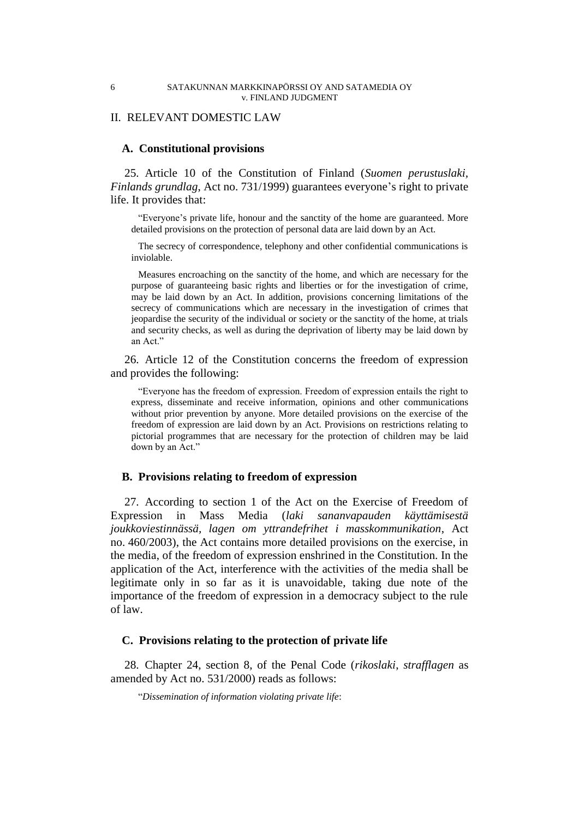### II. RELEVANT DOMESTIC LAW

### **A. Constitutional provisions**

25. Article 10 of the Constitution of Finland (*Suomen perustuslaki, Finlands grundlag*, Act no. 731/1999) guarantees everyone's right to private life. It provides that:

"Everyone's private life, honour and the sanctity of the home are guaranteed. More detailed provisions on the protection of personal data are laid down by an Act.

The secrecy of correspondence, telephony and other confidential communications is inviolable.

Measures encroaching on the sanctity of the home, and which are necessary for the purpose of guaranteeing basic rights and liberties or for the investigation of crime, may be laid down by an Act. In addition, provisions concerning limitations of the secrecy of communications which are necessary in the investigation of crimes that jeopardise the security of the individual or society or the sanctity of the home, at trials and security checks, as well as during the deprivation of liberty may be laid down by an Act."

26. Article 12 of the Constitution concerns the freedom of expression and provides the following:

"Everyone has the freedom of expression. Freedom of expression entails the right to express, disseminate and receive information, opinions and other communications without prior prevention by anyone. More detailed provisions on the exercise of the freedom of expression are laid down by an Act. Provisions on restrictions relating to pictorial programmes that are necessary for the protection of children may be laid down by an Act."

### **B. Provisions relating to freedom of expression**

27. According to section 1 of the Act on the Exercise of Freedom of Expression in Mass Media (*laki sananvapauden käyttämisestä joukkoviestinnässä, lagen om yttrandefrihet i masskommunikation*, Act no. 460/2003), the Act contains more detailed provisions on the exercise, in the media, of the freedom of expression enshrined in the Constitution. In the application of the Act, interference with the activities of the media shall be legitimate only in so far as it is unavoidable, taking due note of the importance of the freedom of expression in a democracy subject to the rule of law.

#### **C. Provisions relating to the protection of private life**

28. Chapter 24, section 8, of the Penal Code (*rikoslaki*, *strafflagen* as amended by Act no. 531/2000) reads as follows:

"*Dissemination of information violating private life*: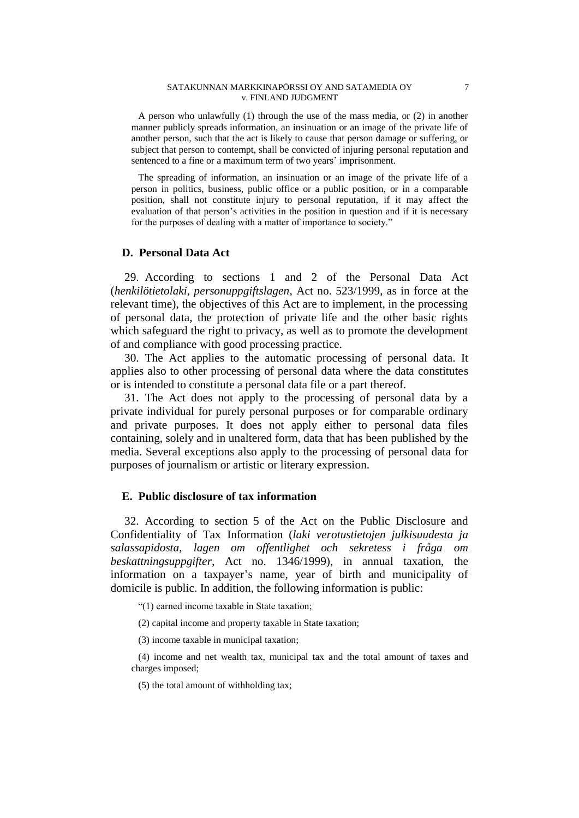#### SATAKUNNAN MARKKINAPÖRSSI OY AND SATAMEDIA OY 7 v. FINLAND JUDGMENT

A person who unlawfully (1) through the use of the mass media, or (2) in another manner publicly spreads information, an insinuation or an image of the private life of another person, such that the act is likely to cause that person damage or suffering, or subject that person to contempt, shall be convicted of injuring personal reputation and sentenced to a fine or a maximum term of two years' imprisonment.

The spreading of information, an insinuation or an image of the private life of a person in politics, business, public office or a public position, or in a comparable position, shall not constitute injury to personal reputation, if it may affect the evaluation of that person's activities in the position in question and if it is necessary for the purposes of dealing with a matter of importance to society."

## **D. Personal Data Act**

29. According to sections 1 and 2 of the Personal Data Act (*henkilötietolaki, personuppgiftslagen*, Act no. 523/1999, as in force at the relevant time), the objectives of this Act are to implement, in the processing of personal data, the protection of private life and the other basic rights which safeguard the right to privacy, as well as to promote the development of and compliance with good processing practice.

30. The Act applies to the automatic processing of personal data. It applies also to other processing of personal data where the data constitutes or is intended to constitute a personal data file or a part thereof.

31. The Act does not apply to the processing of personal data by a private individual for purely personal purposes or for comparable ordinary and private purposes. It does not apply either to personal data files containing, solely and in unaltered form, data that has been published by the media. Several exceptions also apply to the processing of personal data for purposes of journalism or artistic or literary expression.

### **E. Public disclosure of tax information**

32. According to section 5 of the Act on the Public Disclosure and Confidentiality of Tax Information (*laki verotustietojen julkisuudesta ja salassapidosta, lagen om offentlighet och sekretess i fråga om beskattningsuppgifter*, Act no. 1346/1999), in annual taxation, the information on a taxpayer's name, year of birth and municipality of domicile is public. In addition, the following information is public:

"(1) earned income taxable in State taxation;

(2) capital income and property taxable in State taxation;

(3) income taxable in municipal taxation;

(4) income and net wealth tax, municipal tax and the total amount of taxes and charges imposed;

(5) the total amount of withholding tax;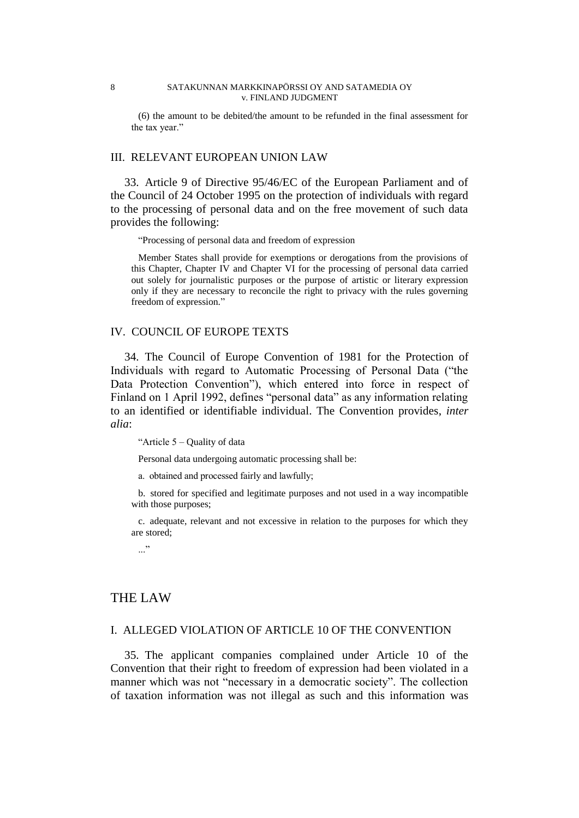#### 8 SATAKUNNAN MARKKINAPÖRSSI OY AND SATAMEDIA OY v. FINLAND JUDGMENT

(6) the amount to be debited/the amount to be refunded in the final assessment for the tax year."

## III. RELEVANT EUROPEAN UNION LAW

33. Article 9 of Directive 95/46/EC of the European Parliament and of the Council of 24 October 1995 on the protection of individuals with regard to the processing of personal data and on the free movement of such data provides the following:

"Processing of personal data and freedom of expression

Member States shall provide for exemptions or derogations from the provisions of this Chapter, Chapter IV and Chapter VI for the processing of personal data carried out solely for journalistic purposes or the purpose of artistic or literary expression only if they are necessary to reconcile the right to privacy with the rules governing freedom of expression."

### IV. COUNCIL OF EUROPE TEXTS

34. The Council of Europe Convention of 1981 for the Protection of Individuals with regard to Automatic Processing of Personal Data ("the Data Protection Convention"), which entered into force in respect of Finland on 1 April 1992, defines "personal data" as any information relating to an identified or identifiable individual. The Convention provides, *inter alia*:

"Article 5 – Quality of data

Personal data undergoing automatic processing shall be:

a. obtained and processed fairly and lawfully;

b. stored for specified and legitimate purposes and not used in a way incompatible with those purposes;

c. adequate, relevant and not excessive in relation to the purposes for which they are stored;

..."

# THE LAW

#### I. ALLEGED VIOLATION OF ARTICLE 10 OF THE CONVENTION

35. The applicant companies complained under Article 10 of the Convention that their right to freedom of expression had been violated in a manner which was not "necessary in a democratic society". The collection of taxation information was not illegal as such and this information was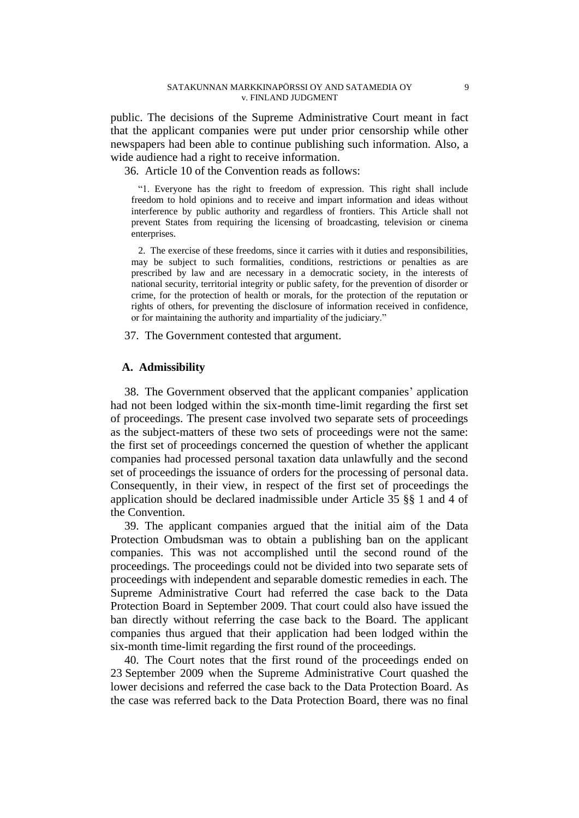public. The decisions of the Supreme Administrative Court meant in fact that the applicant companies were put under prior censorship while other newspapers had been able to continue publishing such information. Also, a wide audience had a right to receive information.

36. Article 10 of the Convention reads as follows:

"1. Everyone has the right to freedom of expression. This right shall include freedom to hold opinions and to receive and impart information and ideas without interference by public authority and regardless of frontiers. This Article shall not prevent States from requiring the licensing of broadcasting, television or cinema enterprises.

2. The exercise of these freedoms, since it carries with it duties and responsibilities, may be subject to such formalities, conditions, restrictions or penalties as are prescribed by law and are necessary in a democratic society, in the interests of national security, territorial integrity or public safety, for the prevention of disorder or crime, for the protection of health or morals, for the protection of the reputation or rights of others, for preventing the disclosure of information received in confidence, or for maintaining the authority and impartiality of the judiciary."

37. The Government contested that argument.

### **A. Admissibility**

38. The Government observed that the applicant companies' application had not been lodged within the six-month time-limit regarding the first set of proceedings. The present case involved two separate sets of proceedings as the subject-matters of these two sets of proceedings were not the same: the first set of proceedings concerned the question of whether the applicant companies had processed personal taxation data unlawfully and the second set of proceedings the issuance of orders for the processing of personal data. Consequently, in their view, in respect of the first set of proceedings the application should be declared inadmissible under Article 35 §§ 1 and 4 of the Convention.

39. The applicant companies argued that the initial aim of the Data Protection Ombudsman was to obtain a publishing ban on the applicant companies. This was not accomplished until the second round of the proceedings. The proceedings could not be divided into two separate sets of proceedings with independent and separable domestic remedies in each. The Supreme Administrative Court had referred the case back to the Data Protection Board in September 2009. That court could also have issued the ban directly without referring the case back to the Board. The applicant companies thus argued that their application had been lodged within the six-month time-limit regarding the first round of the proceedings.

40. The Court notes that the first round of the proceedings ended on 23 September 2009 when the Supreme Administrative Court quashed the lower decisions and referred the case back to the Data Protection Board. As the case was referred back to the Data Protection Board, there was no final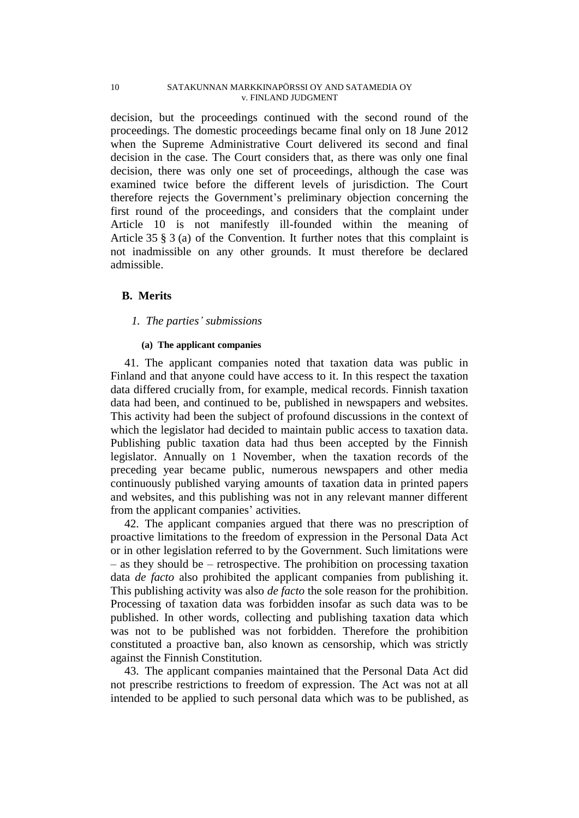decision, but the proceedings continued with the second round of the proceedings. The domestic proceedings became final only on 18 June 2012 when the Supreme Administrative Court delivered its second and final decision in the case. The Court considers that, as there was only one final decision, there was only one set of proceedings, although the case was examined twice before the different levels of jurisdiction. The Court therefore rejects the Government's preliminary objection concerning the first round of the proceedings, and considers that the complaint under Article 10 is not manifestly ill-founded within the meaning of Article 35 § 3 (a) of the Convention. It further notes that this complaint is not inadmissible on any other grounds. It must therefore be declared admissible.

## **B. Merits**

### *1. The parties' submissions*

### **(a) The applicant companies**

41. The applicant companies noted that taxation data was public in Finland and that anyone could have access to it. In this respect the taxation data differed crucially from, for example, medical records. Finnish taxation data had been, and continued to be, published in newspapers and websites. This activity had been the subject of profound discussions in the context of which the legislator had decided to maintain public access to taxation data. Publishing public taxation data had thus been accepted by the Finnish legislator. Annually on 1 November, when the taxation records of the preceding year became public, numerous newspapers and other media continuously published varying amounts of taxation data in printed papers and websites, and this publishing was not in any relevant manner different from the applicant companies' activities.

42. The applicant companies argued that there was no prescription of proactive limitations to the freedom of expression in the Personal Data Act or in other legislation referred to by the Government. Such limitations were – as they should be – retrospective. The prohibition on processing taxation data *de facto* also prohibited the applicant companies from publishing it. This publishing activity was also *de facto* the sole reason for the prohibition. Processing of taxation data was forbidden insofar as such data was to be published. In other words, collecting and publishing taxation data which was not to be published was not forbidden. Therefore the prohibition constituted a proactive ban, also known as censorship, which was strictly against the Finnish Constitution.

43. The applicant companies maintained that the Personal Data Act did not prescribe restrictions to freedom of expression. The Act was not at all intended to be applied to such personal data which was to be published, as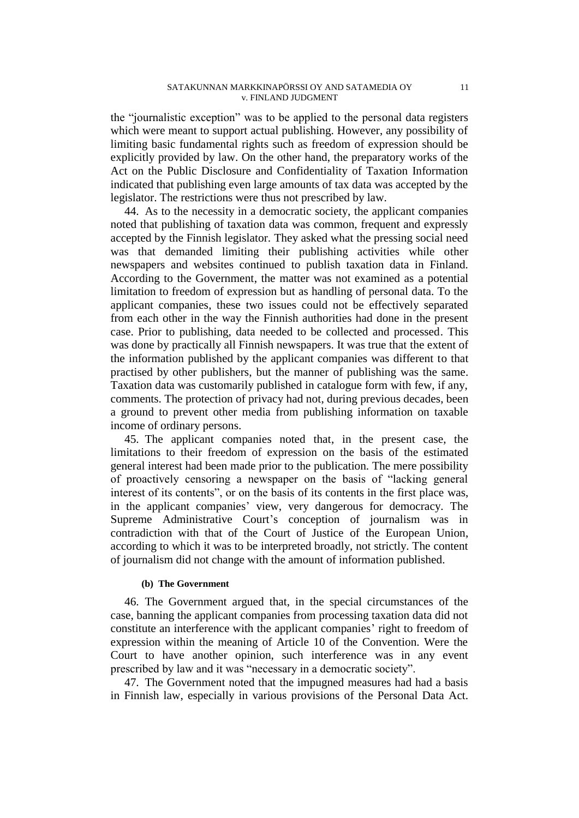the "journalistic exception" was to be applied to the personal data registers which were meant to support actual publishing. However, any possibility of limiting basic fundamental rights such as freedom of expression should be explicitly provided by law. On the other hand, the preparatory works of the Act on the Public Disclosure and Confidentiality of Taxation Information indicated that publishing even large amounts of tax data was accepted by the legislator. The restrictions were thus not prescribed by law.

44. As to the necessity in a democratic society, the applicant companies noted that publishing of taxation data was common, frequent and expressly accepted by the Finnish legislator. They asked what the pressing social need was that demanded limiting their publishing activities while other newspapers and websites continued to publish taxation data in Finland. According to the Government, the matter was not examined as a potential limitation to freedom of expression but as handling of personal data. To the applicant companies, these two issues could not be effectively separated from each other in the way the Finnish authorities had done in the present case. Prior to publishing, data needed to be collected and processed. This was done by practically all Finnish newspapers. It was true that the extent of the information published by the applicant companies was different to that practised by other publishers, but the manner of publishing was the same. Taxation data was customarily published in catalogue form with few, if any, comments. The protection of privacy had not, during previous decades, been a ground to prevent other media from publishing information on taxable income of ordinary persons.

45. The applicant companies noted that, in the present case, the limitations to their freedom of expression on the basis of the estimated general interest had been made prior to the publication. The mere possibility of proactively censoring a newspaper on the basis of "lacking general interest of its contents", or on the basis of its contents in the first place was, in the applicant companies' view, very dangerous for democracy. The Supreme Administrative Court's conception of journalism was in contradiction with that of the Court of Justice of the European Union, according to which it was to be interpreted broadly, not strictly. The content of journalism did not change with the amount of information published.

#### **(b) The Government**

46. The Government argued that, in the special circumstances of the case, banning the applicant companies from processing taxation data did not constitute an interference with the applicant companies' right to freedom of expression within the meaning of Article 10 of the Convention. Were the Court to have another opinion, such interference was in any event prescribed by law and it was "necessary in a democratic society".

47. The Government noted that the impugned measures had had a basis in Finnish law, especially in various provisions of the Personal Data Act.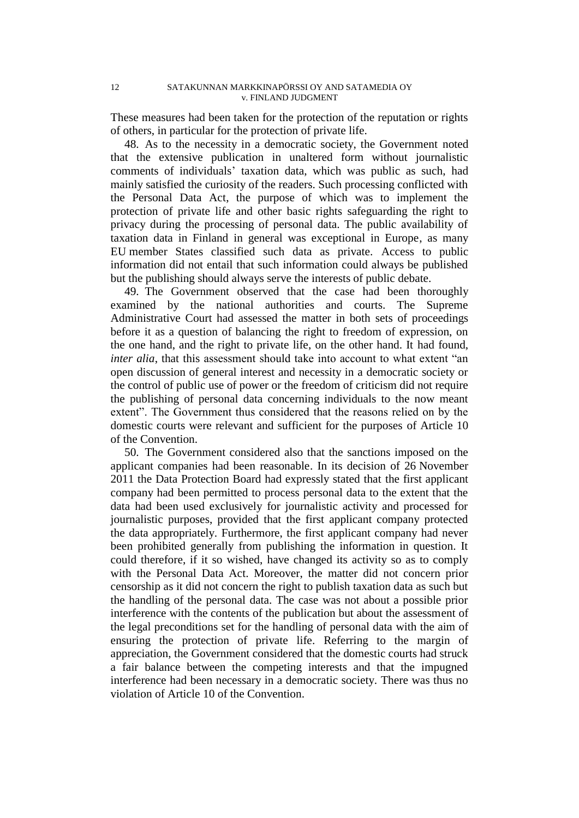These measures had been taken for the protection of the reputation or rights of others, in particular for the protection of private life.

48. As to the necessity in a democratic society, the Government noted that the extensive publication in unaltered form without journalistic comments of individuals' taxation data, which was public as such, had mainly satisfied the curiosity of the readers. Such processing conflicted with the Personal Data Act, the purpose of which was to implement the protection of private life and other basic rights safeguarding the right to privacy during the processing of personal data. The public availability of taxation data in Finland in general was exceptional in Europe, as many EU member States classified such data as private. Access to public information did not entail that such information could always be published but the publishing should always serve the interests of public debate.

49. The Government observed that the case had been thoroughly examined by the national authorities and courts. The Supreme Administrative Court had assessed the matter in both sets of proceedings before it as a question of balancing the right to freedom of expression, on the one hand, and the right to private life, on the other hand. It had found, *inter alia*, that this assessment should take into account to what extent "an open discussion of general interest and necessity in a democratic society or the control of public use of power or the freedom of criticism did not require the publishing of personal data concerning individuals to the now meant extent". The Government thus considered that the reasons relied on by the domestic courts were relevant and sufficient for the purposes of Article 10 of the Convention.

50. The Government considered also that the sanctions imposed on the applicant companies had been reasonable. In its decision of 26 November 2011 the Data Protection Board had expressly stated that the first applicant company had been permitted to process personal data to the extent that the data had been used exclusively for journalistic activity and processed for journalistic purposes, provided that the first applicant company protected the data appropriately. Furthermore, the first applicant company had never been prohibited generally from publishing the information in question. It could therefore, if it so wished, have changed its activity so as to comply with the Personal Data Act. Moreover, the matter did not concern prior censorship as it did not concern the right to publish taxation data as such but the handling of the personal data. The case was not about a possible prior interference with the contents of the publication but about the assessment of the legal preconditions set for the handling of personal data with the aim of ensuring the protection of private life. Referring to the margin of appreciation, the Government considered that the domestic courts had struck a fair balance between the competing interests and that the impugned interference had been necessary in a democratic society. There was thus no violation of Article 10 of the Convention.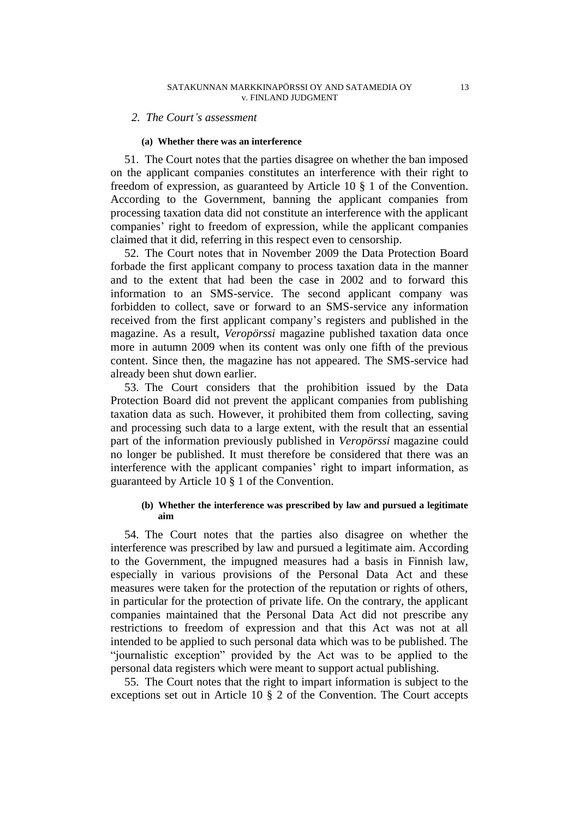#### *2. The Court's assessment*

#### **(a) Whether there was an interference**

51. The Court notes that the parties disagree on whether the ban imposed on the applicant companies constitutes an interference with their right to freedom of expression, as guaranteed by Article 10 § 1 of the Convention. According to the Government, banning the applicant companies from processing taxation data did not constitute an interference with the applicant companies' right to freedom of expression, while the applicant companies claimed that it did, referring in this respect even to censorship.

52. The Court notes that in November 2009 the Data Protection Board forbade the first applicant company to process taxation data in the manner and to the extent that had been the case in 2002 and to forward this information to an SMS-service. The second applicant company was forbidden to collect, save or forward to an SMS-service any information received from the first applicant company's registers and published in the magazine. As a result, *Veropörssi* magazine published taxation data once more in autumn 2009 when its content was only one fifth of the previous content. Since then, the magazine has not appeared. The SMS-service had already been shut down earlier.

53. The Court considers that the prohibition issued by the Data Protection Board did not prevent the applicant companies from publishing taxation data as such. However, it prohibited them from collecting, saving and processing such data to a large extent, with the result that an essential part of the information previously published in *Veropörssi* magazine could no longer be published. It must therefore be considered that there was an interference with the applicant companies' right to impart information, as guaranteed by Article 10 § 1 of the Convention.

### **(b) Whether the interference was prescribed by law and pursued a legitimate aim**

54. The Court notes that the parties also disagree on whether the interference was prescribed by law and pursued a legitimate aim. According to the Government, the impugned measures had a basis in Finnish law, especially in various provisions of the Personal Data Act and these measures were taken for the protection of the reputation or rights of others, in particular for the protection of private life. On the contrary, the applicant companies maintained that the Personal Data Act did not prescribe any restrictions to freedom of expression and that this Act was not at all intended to be applied to such personal data which was to be published. The "journalistic exception" provided by the Act was to be applied to the personal data registers which were meant to support actual publishing.

55. The Court notes that the right to impart information is subject to the exceptions set out in Article 10 § 2 of the Convention. The Court accepts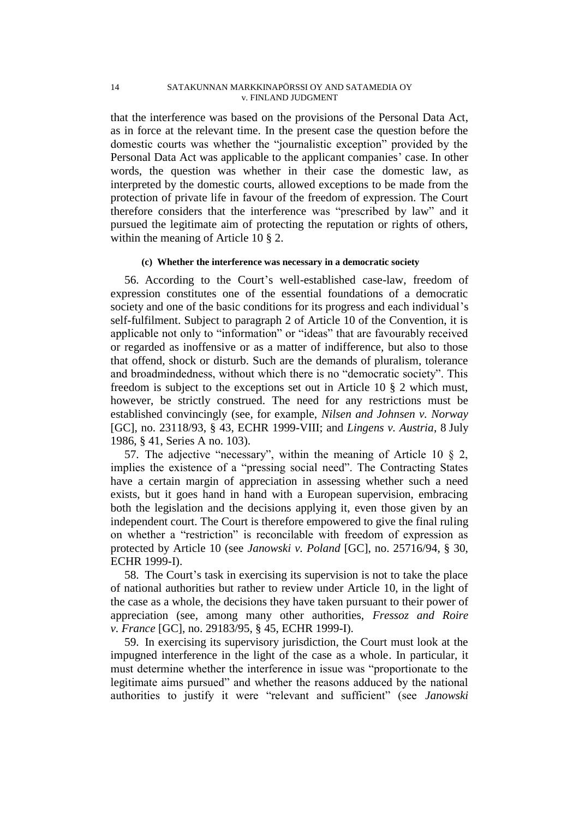#### 14 SATAKUNNAN MARKKINAPÖRSSI OY AND SATAMEDIA OY v. FINLAND JUDGMENT

that the interference was based on the provisions of the Personal Data Act, as in force at the relevant time. In the present case the question before the domestic courts was whether the "journalistic exception" provided by the Personal Data Act was applicable to the applicant companies' case. In other words, the question was whether in their case the domestic law, as interpreted by the domestic courts, allowed exceptions to be made from the protection of private life in favour of the freedom of expression. The Court therefore considers that the interference was "prescribed by law" and it pursued the legitimate aim of protecting the reputation or rights of others, within the meaning of Article 10 § 2.

#### **(c) Whether the interference was necessary in a democratic society**

56. According to the Court's well-established case-law, freedom of expression constitutes one of the essential foundations of a democratic society and one of the basic conditions for its progress and each individual's self-fulfilment. Subject to paragraph 2 of Article 10 of the Convention, it is applicable not only to "information" or "ideas" that are favourably received or regarded as inoffensive or as a matter of indifference, but also to those that offend, shock or disturb. Such are the demands of pluralism, tolerance and broadmindedness, without which there is no "democratic society". This freedom is subject to the exceptions set out in Article 10 § 2 which must, however, be strictly construed. The need for any restrictions must be established convincingly (see, for example, *Nilsen and Johnsen v. Norway* [GC], no. [23118/93,](http://hudoc.echr.coe.int/sites/eng/Pages/search.aspx#{"appno":["23118/93"]}) § 43, ECHR 1999-VIII; and *Lingens v. Austria*, 8 July 1986, § 41, Series A no. 103).

57. The adjective "necessary", within the meaning of Article 10 § 2, implies the existence of a "pressing social need". The Contracting States have a certain margin of appreciation in assessing whether such a need exists, but it goes hand in hand with a European supervision, embracing both the legislation and the decisions applying it, even those given by an independent court. The Court is therefore empowered to give the final ruling on whether a "restriction" is reconcilable with freedom of expression as protected by Article 10 (see *Janowski v. Poland* [GC], no. [25716/94,](http://hudoc.echr.coe.int/sites/eng/Pages/search.aspx#{"appno":["25716/94"]}) § 30, ECHR 1999-I).

58. The Court's task in exercising its supervision is not to take the place of national authorities but rather to review under Article 10, in the light of the case as a whole, the decisions they have taken pursuant to their power of appreciation (see, among many other authorities, *Fressoz and Roire v. France* [GC], no. [29183/95,](http://hudoc.echr.coe.int/sites/eng/Pages/search.aspx#{"appno":["29183/95"]}) § 45, ECHR 1999-I).

59. In exercising its supervisory jurisdiction, the Court must look at the impugned interference in the light of the case as a whole. In particular, it must determine whether the interference in issue was "proportionate to the legitimate aims pursued" and whether the reasons adduced by the national authorities to justify it were "relevant and sufficient" (see *Janowski*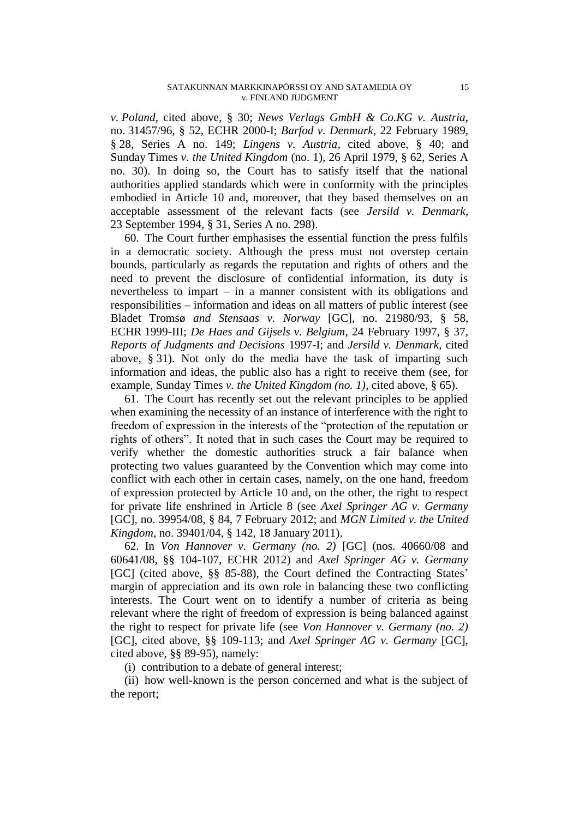*v. Poland*, cited above, § 30; *News Verlags GmbH & Co.KG v. Austria*, no. [31457/96,](http://hudoc.echr.coe.int/sites/eng/Pages/search.aspx#{"appno":["31457/96"]}) § 52, ECHR 2000-I; *Barfod v. Denmark*, 22 February 1989, § 28, Series A no. 149; *Lingens v. Austria*, cited above, § 40; and Sunday Times *v. the United Kingdom* (no. 1), 26 April 1979, § 62, Series A no. 30). In doing so, the Court has to satisfy itself that the national authorities applied standards which were in conformity with the principles embodied in Article 10 and, moreover, that they based themselves on an acceptable assessment of the relevant facts (see *Jersild v. Denmark*, 23 September 1994, § 31, Series A no. 298).

60. The Court further emphasises the essential function the press fulfils in a democratic society. Although the press must not overstep certain bounds, particularly as regards the reputation and rights of others and the need to prevent the disclosure of confidential information, its duty is nevertheless to impart – in a manner consistent with its obligations and responsibilities – information and ideas on all matters of public interest (see Bladet Tromsø *and Stensaas v. Norway* [GC], no. [21980/93,](http://hudoc.echr.coe.int/sites/eng/Pages/search.aspx#{"appno":["21980/93"]}) § 58, ECHR 1999-III; *De Haes and Gijsels v. Belgium*, 24 February 1997, § 37, *Reports of Judgments and Decisions* 1997-I; and *Jersild v. Denmark*, cited above, § 31). Not only do the media have the task of imparting such information and ideas, the public also has a right to receive them (see, for example, Sunday Times *v. the United Kingdom (no. 1)*, cited above, § 65).

61. The Court has recently set out the relevant principles to be applied when examining the necessity of an instance of interference with the right to freedom of expression in the interests of the "protection of the reputation or rights of others". It noted that in such cases the Court may be required to verify whether the domestic authorities struck a fair balance when protecting two values guaranteed by the Convention which may come into conflict with each other in certain cases, namely, on the one hand, freedom of expression protected by Article 10 and, on the other, the right to respect for private life enshrined in Article 8 (see *Axel Springer AG v. Germany* [GC], no. [39954/08,](http://hudoc.echr.coe.int/sites/eng/Pages/search.aspx#{"appno":["39954/08"]}) § 84, 7 February 2012; and *MGN Limited v. the United Kingdom*, no. [39401/04,](http://hudoc.echr.coe.int/sites/eng/Pages/search.aspx#{"appno":["39401/04"]}) § 142, 18 January 2011).

62. In *Von Hannover v. Germany (no. 2)* [GC] (nos. [40660/08](http://hudoc.echr.coe.int/sites/eng/Pages/search.aspx#{"appno":["40660/08"]}) and [60641/08,](http://hudoc.echr.coe.int/sites/eng/Pages/search.aspx#{"appno":["60641/08"]}) §§ 104-107, ECHR 2012) and *Axel Springer AG v. Germany* [GC] (cited above, §§ 85-88), the Court defined the Contracting States' margin of appreciation and its own role in balancing these two conflicting interests. The Court went on to identify a number of criteria as being relevant where the right of freedom of expression is being balanced against the right to respect for private life (see *Von Hannover v. Germany (no. 2)* [GC], cited above, §§ 109-113; and *Axel Springer AG v. Germany* [GC], cited above, §§ 89-95), namely:

(i) contribution to a debate of general interest;

(ii) how well-known is the person concerned and what is the subject of the report;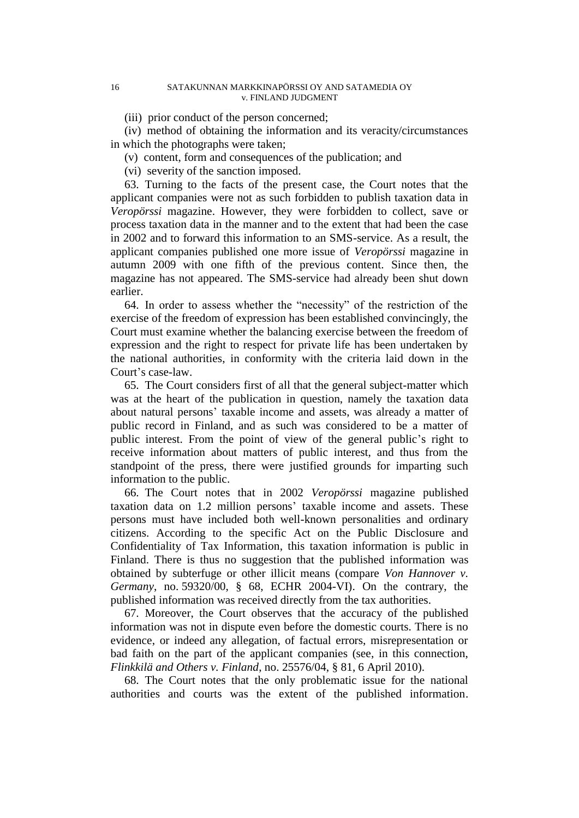#### 16 SATAKUNNAN MARKKINAPÖRSSI OY AND SATAMEDIA OY v. FINLAND JUDGMENT

(iii) prior conduct of the person concerned;

(iv) method of obtaining the information and its veracity/circumstances in which the photographs were taken;

(v) content, form and consequences of the publication; and

(vi) severity of the sanction imposed.

63. Turning to the facts of the present case, the Court notes that the applicant companies were not as such forbidden to publish taxation data in *Veropörssi* magazine. However, they were forbidden to collect, save or process taxation data in the manner and to the extent that had been the case in 2002 and to forward this information to an SMS-service. As a result, the applicant companies published one more issue of *Veropörssi* magazine in autumn 2009 with one fifth of the previous content. Since then, the magazine has not appeared. The SMS-service had already been shut down earlier.

64. In order to assess whether the "necessity" of the restriction of the exercise of the freedom of expression has been established convincingly, the Court must examine whether the balancing exercise between the freedom of expression and the right to respect for private life has been undertaken by the national authorities, in conformity with the criteria laid down in the Court's case-law.

65. The Court considers first of all that the general subject-matter which was at the heart of the publication in question, namely the taxation data about natural persons' taxable income and assets, was already a matter of public record in Finland, and as such was considered to be a matter of public interest. From the point of view of the general public's right to receive information about matters of public interest, and thus from the standpoint of the press, there were justified grounds for imparting such information to the public.

66. The Court notes that in 2002 *Veropörssi* magazine published taxation data on 1.2 million persons' taxable income and assets. These persons must have included both well-known personalities and ordinary citizens. According to the specific Act on the Public Disclosure and Confidentiality of Tax Information, this taxation information is public in Finland. There is thus no suggestion that the published information was obtained by subterfuge or other illicit means (compare *Von Hannover v. Germany*, no. 59320/00, § 68, ECHR 2004-VI). On the contrary, the published information was received directly from the tax authorities.

67. Moreover, the Court observes that the accuracy of the published information was not in dispute even before the domestic courts. There is no evidence, or indeed any allegation, of factual errors, misrepresentation or bad faith on the part of the applicant companies (see, in this connection, *Flinkkilä and Others v. Finland*, no. [25576/04,](http://hudoc.echr.coe.int/sites/eng/Pages/search.aspx#{"appno":["25576/04"]}) § 81, 6 April 2010).

68. The Court notes that the only problematic issue for the national authorities and courts was the extent of the published information.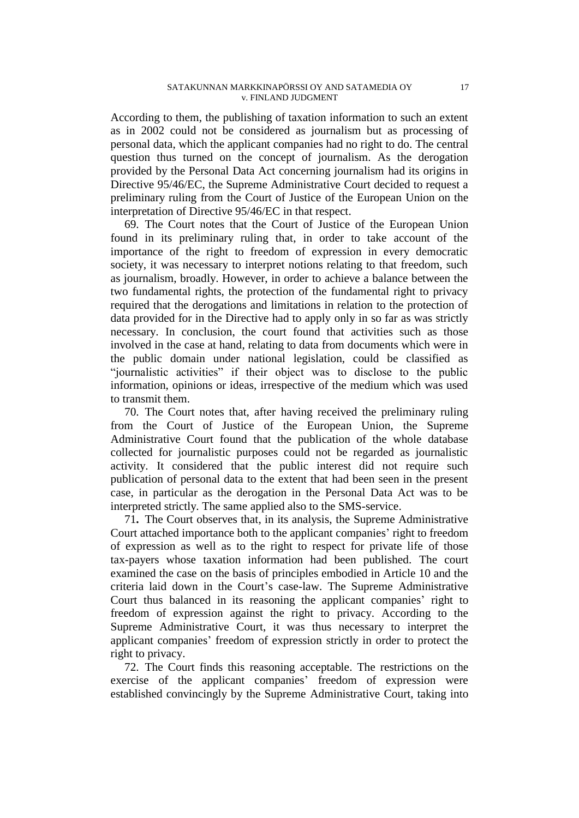According to them, the publishing of taxation information to such an extent as in 2002 could not be considered as journalism but as processing of personal data, which the applicant companies had no right to do. The central question thus turned on the concept of journalism. As the derogation provided by the Personal Data Act concerning journalism had its origins in Directive 95/46/EC, the Supreme Administrative Court decided to request a preliminary ruling from the Court of Justice of the European Union on the interpretation of Directive 95/46/EC in that respect.

69. The Court notes that the Court of Justice of the European Union found in its preliminary ruling that, in order to take account of the importance of the right to freedom of expression in every democratic society, it was necessary to interpret notions relating to that freedom, such as journalism, broadly. However, in order to achieve a balance between the two fundamental rights, the protection of the fundamental right to privacy required that the derogations and limitations in relation to the protection of data provided for in the Directive had to apply only in so far as was strictly necessary. In conclusion, the court found that activities such as those involved in the case at hand, relating to data from documents which were in the public domain under national legislation, could be classified as "journalistic activities" if their object was to disclose to the public information, opinions or ideas, irrespective of the medium which was used to transmit them.

70. The Court notes that, after having received the preliminary ruling from the Court of Justice of the European Union, the Supreme Administrative Court found that the publication of the whole database collected for journalistic purposes could not be regarded as journalistic activity. It considered that the public interest did not require such publication of personal data to the extent that had been seen in the present case, in particular as the derogation in the Personal Data Act was to be interpreted strictly. The same applied also to the SMS-service.

71**.** The Court observes that, in its analysis, the Supreme Administrative Court attached importance both to the applicant companies' right to freedom of expression as well as to the right to respect for private life of those tax-payers whose taxation information had been published. The court examined the case on the basis of principles embodied in Article 10 and the criteria laid down in the Court's case-law. The Supreme Administrative Court thus balanced in its reasoning the applicant companies' right to freedom of expression against the right to privacy. According to the Supreme Administrative Court, it was thus necessary to interpret the applicant companies' freedom of expression strictly in order to protect the right to privacy.

72. The Court finds this reasoning acceptable. The restrictions on the exercise of the applicant companies' freedom of expression were established convincingly by the Supreme Administrative Court, taking into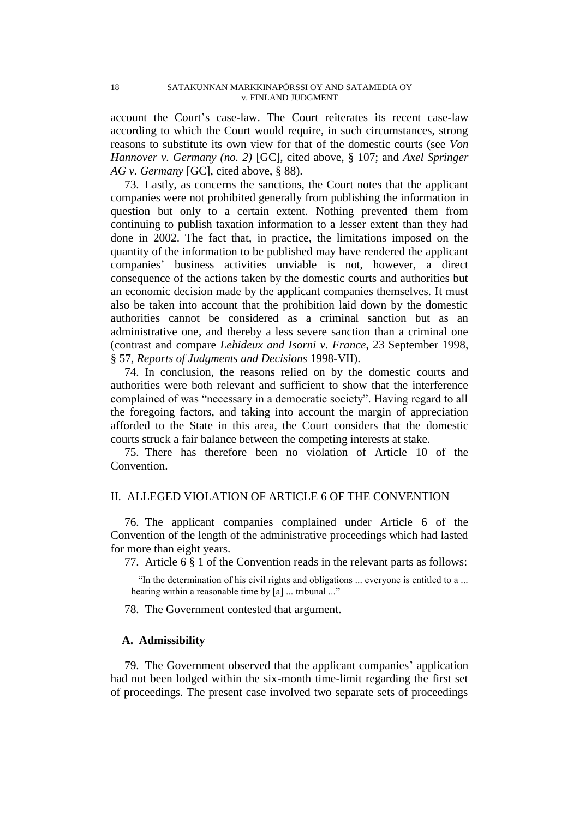account the Court's case-law. The Court reiterates its recent case-law according to which the Court would require, in such circumstances, strong reasons to substitute its own view for that of the domestic courts (see *Von Hannover v. Germany (no. 2)* [GC], cited above, § 107; and *Axel Springer AG v. Germany* [GC], cited above, § 88).

73. Lastly, as concerns the sanctions, the Court notes that the applicant companies were not prohibited generally from publishing the information in question but only to a certain extent. Nothing prevented them from continuing to publish taxation information to a lesser extent than they had done in 2002. The fact that, in practice, the limitations imposed on the quantity of the information to be published may have rendered the applicant companies' business activities unviable is not, however, a direct consequence of the actions taken by the domestic courts and authorities but an economic decision made by the applicant companies themselves. It must also be taken into account that the prohibition laid down by the domestic authorities cannot be considered as a criminal sanction but as an administrative one, and thereby a less severe sanction than a criminal one (contrast and compare *Lehideux and Isorni v. France*, 23 September 1998, § 57, *Reports of Judgments and Decisions* 1998-VII).

74. In conclusion, the reasons relied on by the domestic courts and authorities were both relevant and sufficient to show that the interference complained of was "necessary in a democratic society". Having regard to all the foregoing factors, and taking into account the margin of appreciation afforded to the State in this area, the Court considers that the domestic courts struck a fair balance between the competing interests at stake.

75. There has therefore been no violation of Article 10 of the Convention.

## II. ALLEGED VIOLATION OF ARTICLE 6 OF THE CONVENTION

76. The applicant companies complained under Article 6 of the Convention of the length of the administrative proceedings which had lasted for more than eight years.

77. Article 6 § 1 of the Convention reads in the relevant parts as follows:

"In the determination of his civil rights and obligations ... everyone is entitled to a ... hearing within a reasonable time by [a] ... tribunal ..."

78. The Government contested that argument.

## **A. Admissibility**

79. The Government observed that the applicant companies' application had not been lodged within the six-month time-limit regarding the first set of proceedings. The present case involved two separate sets of proceedings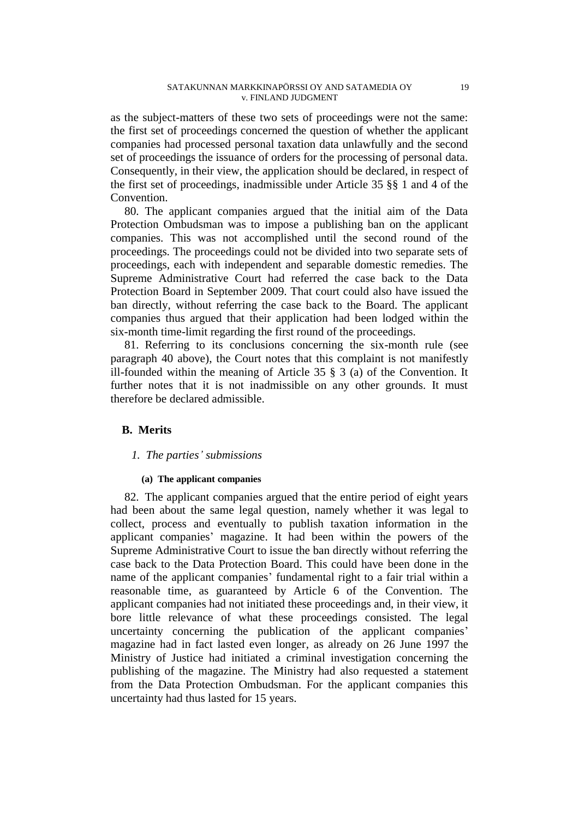as the subject-matters of these two sets of proceedings were not the same: the first set of proceedings concerned the question of whether the applicant companies had processed personal taxation data unlawfully and the second set of proceedings the issuance of orders for the processing of personal data. Consequently, in their view, the application should be declared, in respect of the first set of proceedings, inadmissible under Article 35 §§ 1 and 4 of the Convention.

80. The applicant companies argued that the initial aim of the Data Protection Ombudsman was to impose a publishing ban on the applicant companies. This was not accomplished until the second round of the proceedings. The proceedings could not be divided into two separate sets of proceedings, each with independent and separable domestic remedies. The Supreme Administrative Court had referred the case back to the Data Protection Board in September 2009. That court could also have issued the ban directly, without referring the case back to the Board. The applicant companies thus argued that their application had been lodged within the six-month time-limit regarding the first round of the proceedings.

81. Referring to its conclusions concerning the six-month rule (see paragraph 40 above), the Court notes that this complaint is not manifestly ill-founded within the meaning of Article 35 § 3 (a) of the Convention. It further notes that it is not inadmissible on any other grounds. It must therefore be declared admissible.

## **B. Merits**

## *1. The parties' submissions*

#### **(a) The applicant companies**

82. The applicant companies argued that the entire period of eight years had been about the same legal question, namely whether it was legal to collect, process and eventually to publish taxation information in the applicant companies' magazine. It had been within the powers of the Supreme Administrative Court to issue the ban directly without referring the case back to the Data Protection Board. This could have been done in the name of the applicant companies' fundamental right to a fair trial within a reasonable time, as guaranteed by Article 6 of the Convention. The applicant companies had not initiated these proceedings and, in their view, it bore little relevance of what these proceedings consisted. The legal uncertainty concerning the publication of the applicant companies' magazine had in fact lasted even longer, as already on 26 June 1997 the Ministry of Justice had initiated a criminal investigation concerning the publishing of the magazine. The Ministry had also requested a statement from the Data Protection Ombudsman. For the applicant companies this uncertainty had thus lasted for 15 years.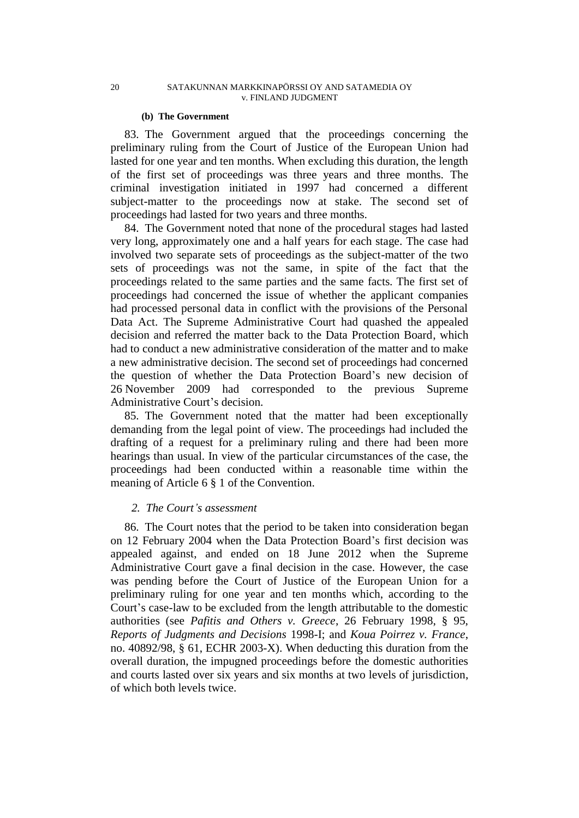#### **(b) The Government**

83. The Government argued that the proceedings concerning the preliminary ruling from the Court of Justice of the European Union had lasted for one year and ten months. When excluding this duration, the length of the first set of proceedings was three years and three months. The criminal investigation initiated in 1997 had concerned a different subject-matter to the proceedings now at stake. The second set of proceedings had lasted for two years and three months.

84. The Government noted that none of the procedural stages had lasted very long, approximately one and a half years for each stage. The case had involved two separate sets of proceedings as the subject-matter of the two sets of proceedings was not the same, in spite of the fact that the proceedings related to the same parties and the same facts. The first set of proceedings had concerned the issue of whether the applicant companies had processed personal data in conflict with the provisions of the Personal Data Act. The Supreme Administrative Court had quashed the appealed decision and referred the matter back to the Data Protection Board, which had to conduct a new administrative consideration of the matter and to make a new administrative decision. The second set of proceedings had concerned the question of whether the Data Protection Board's new decision of 26 November 2009 had corresponded to the previous Supreme Administrative Court's decision.

85. The Government noted that the matter had been exceptionally demanding from the legal point of view. The proceedings had included the drafting of a request for a preliminary ruling and there had been more hearings than usual. In view of the particular circumstances of the case, the proceedings had been conducted within a reasonable time within the meaning of Article 6 § 1 of the Convention.

## *2. The Court's assessment*

86. The Court notes that the period to be taken into consideration began on 12 February 2004 when the Data Protection Board's first decision was appealed against, and ended on 18 June 2012 when the Supreme Administrative Court gave a final decision in the case. However, the case was pending before the Court of Justice of the European Union for a preliminary ruling for one year and ten months which, according to the Court's case-law to be excluded from the length attributable to the domestic authorities (see *Pafitis and Others v. Greece*, 26 February 1998, § 95, *Reports of Judgments and Decisions* 1998-I; and *Koua Poirrez v. France*, no. 40892/98, § 61, ECHR 2003-X). When deducting this duration from the overall duration, the impugned proceedings before the domestic authorities and courts lasted over six years and six months at two levels of jurisdiction, of which both levels twice.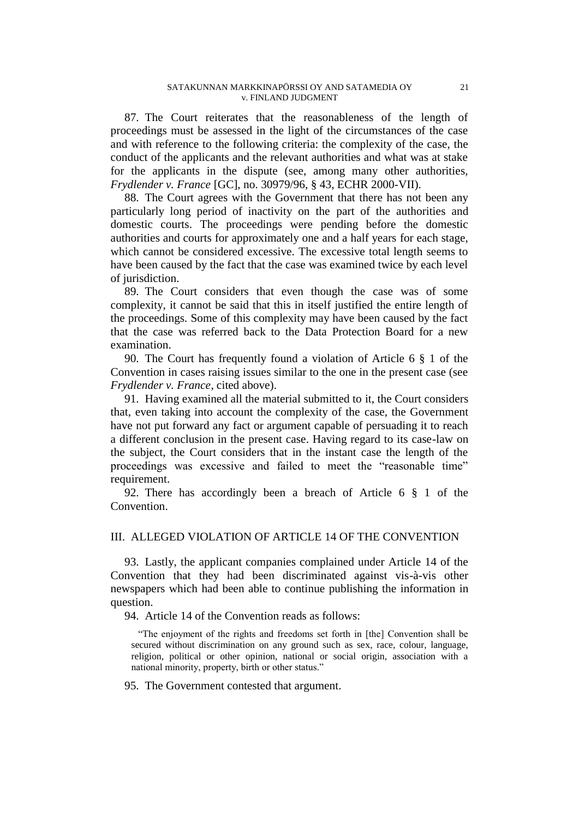87. The Court reiterates that the reasonableness of the length of proceedings must be assessed in the light of the circumstances of the case and with reference to the following criteria: the complexity of the case, the conduct of the applicants and the relevant authorities and what was at stake for the applicants in the dispute (see, among many other authorities, *Frydlender v. France* [GC], no. [30979/96,](http://hudoc.echr.coe.int/sites/eng/Pages/search.aspx#{"appno":["30979/96"]}) § 43, ECHR 2000-VII).

88. The Court agrees with the Government that there has not been any particularly long period of inactivity on the part of the authorities and domestic courts. The proceedings were pending before the domestic authorities and courts for approximately one and a half years for each stage, which cannot be considered excessive. The excessive total length seems to have been caused by the fact that the case was examined twice by each level of jurisdiction.

89. The Court considers that even though the case was of some complexity, it cannot be said that this in itself justified the entire length of the proceedings. Some of this complexity may have been caused by the fact that the case was referred back to the Data Protection Board for a new examination.

90. The Court has frequently found a violation of Article 6 § 1 of the Convention in cases raising issues similar to the one in the present case (see *Frydlender v. France*, cited above).

91. Having examined all the material submitted to it, the Court considers that, even taking into account the complexity of the case, the Government have not put forward any fact or argument capable of persuading it to reach a different conclusion in the present case. Having regard to its case-law on the subject, the Court considers that in the instant case the length of the proceedings was excessive and failed to meet the "reasonable time" requirement.

92. There has accordingly been a breach of Article 6 § 1 of the Convention.

## III. ALLEGED VIOLATION OF ARTICLE 14 OF THE CONVENTION

93. Lastly, the applicant companies complained under Article 14 of the Convention that they had been discriminated against vis-à-vis other newspapers which had been able to continue publishing the information in question.

94. Article 14 of the Convention reads as follows:

"The enjoyment of the rights and freedoms set forth in [the] Convention shall be secured without discrimination on any ground such as sex, race, colour, language, religion, political or other opinion, national or social origin, association with a national minority, property, birth or other status."

95. The Government contested that argument.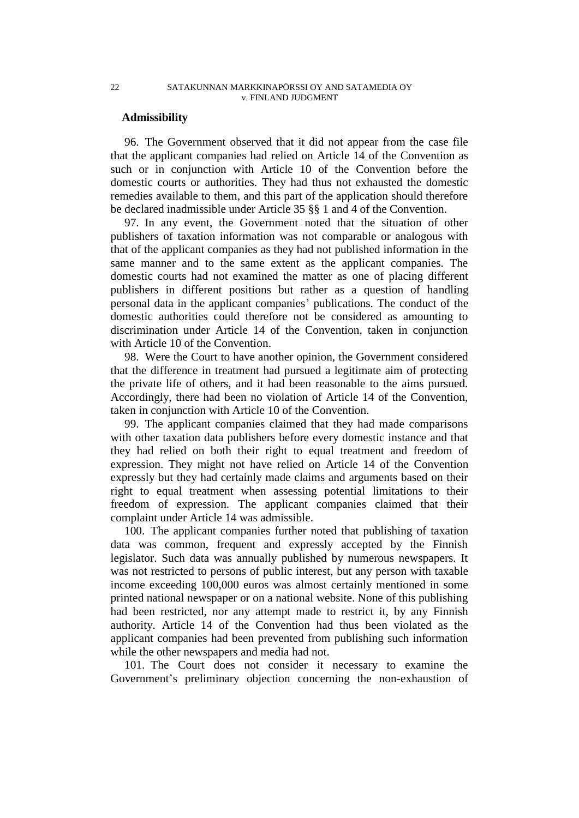### **Admissibility**

96. The Government observed that it did not appear from the case file that the applicant companies had relied on Article 14 of the Convention as such or in conjunction with Article 10 of the Convention before the domestic courts or authorities. They had thus not exhausted the domestic remedies available to them, and this part of the application should therefore be declared inadmissible under Article 35 §§ 1 and 4 of the Convention.

97. In any event, the Government noted that the situation of other publishers of taxation information was not comparable or analogous with that of the applicant companies as they had not published information in the same manner and to the same extent as the applicant companies. The domestic courts had not examined the matter as one of placing different publishers in different positions but rather as a question of handling personal data in the applicant companies' publications. The conduct of the domestic authorities could therefore not be considered as amounting to discrimination under Article 14 of the Convention, taken in conjunction with Article 10 of the Convention.

98. Were the Court to have another opinion, the Government considered that the difference in treatment had pursued a legitimate aim of protecting the private life of others, and it had been reasonable to the aims pursued. Accordingly, there had been no violation of Article 14 of the Convention, taken in conjunction with Article 10 of the Convention.

99. The applicant companies claimed that they had made comparisons with other taxation data publishers before every domestic instance and that they had relied on both their right to equal treatment and freedom of expression. They might not have relied on Article 14 of the Convention expressly but they had certainly made claims and arguments based on their right to equal treatment when assessing potential limitations to their freedom of expression. The applicant companies claimed that their complaint under Article 14 was admissible.

100. The applicant companies further noted that publishing of taxation data was common, frequent and expressly accepted by the Finnish legislator. Such data was annually published by numerous newspapers. It was not restricted to persons of public interest, but any person with taxable income exceeding 100,000 euros was almost certainly mentioned in some printed national newspaper or on a national website. None of this publishing had been restricted, nor any attempt made to restrict it, by any Finnish authority. Article 14 of the Convention had thus been violated as the applicant companies had been prevented from publishing such information while the other newspapers and media had not.

101. The Court does not consider it necessary to examine the Government's preliminary objection concerning the non-exhaustion of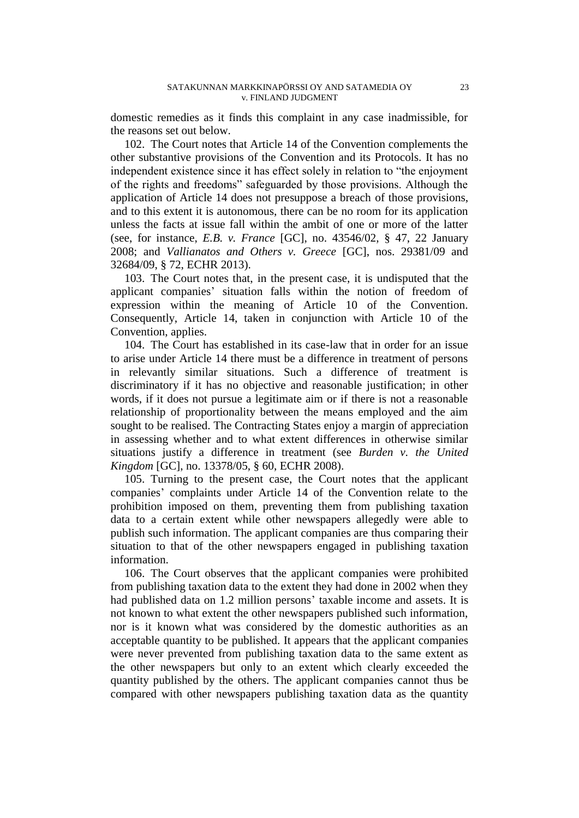domestic remedies as it finds this complaint in any case inadmissible, for the reasons set out below.

102. The Court notes that Article 14 of the Convention complements the other substantive provisions of the Convention and its Protocols. It has no independent existence since it has effect solely in relation to "the enjoyment of the rights and freedoms" safeguarded by those provisions. Although the application of Article 14 does not presuppose a breach of those provisions, and to this extent it is autonomous, there can be no room for its application unless the facts at issue fall within the ambit of one or more of the latter (see, for instance, *E.B. v. France* [GC], no. [43546/02,](http://hudoc.echr.coe.int/sites/eng/Pages/search.aspx#{"appno":["43546/02"]}) § 47, 22 January 2008; and *Vallianatos and Others v. Greece* [GC], nos. [29381/09](http://hudoc.echr.coe.int/sites/eng/Pages/search.aspx#{"appno":["29381/09"]}) and [32684/09,](http://hudoc.echr.coe.int/sites/eng/Pages/search.aspx#{"appno":["32684/09"]}) § 72, ECHR 2013).

103. The Court notes that, in the present case, it is undisputed that the applicant companies' situation falls within the notion of freedom of expression within the meaning of Article 10 of the Convention. Consequently, Article 14, taken in conjunction with Article 10 of the Convention, applies.

104. The Court has established in its case-law that in order for an issue to arise under Article 14 there must be a difference in treatment of persons in relevantly similar situations. Such a difference of treatment is discriminatory if it has no objective and reasonable justification; in other words, if it does not pursue a legitimate aim or if there is not a reasonable relationship of proportionality between the means employed and the aim sought to be realised. The Contracting States enjoy a margin of appreciation in assessing whether and to what extent differences in otherwise similar situations justify a difference in treatment (see *Burden v. the United Kingdom* [GC], no. [13378/05,](http://hudoc.echr.coe.int/sites/eng/Pages/search.aspx#{"appno":["13378/05"]}) § 60, ECHR 2008).

105. Turning to the present case, the Court notes that the applicant companies' complaints under Article 14 of the Convention relate to the prohibition imposed on them, preventing them from publishing taxation data to a certain extent while other newspapers allegedly were able to publish such information. The applicant companies are thus comparing their situation to that of the other newspapers engaged in publishing taxation information.

106. The Court observes that the applicant companies were prohibited from publishing taxation data to the extent they had done in 2002 when they had published data on 1.2 million persons' taxable income and assets. It is not known to what extent the other newspapers published such information, nor is it known what was considered by the domestic authorities as an acceptable quantity to be published. It appears that the applicant companies were never prevented from publishing taxation data to the same extent as the other newspapers but only to an extent which clearly exceeded the quantity published by the others. The applicant companies cannot thus be compared with other newspapers publishing taxation data as the quantity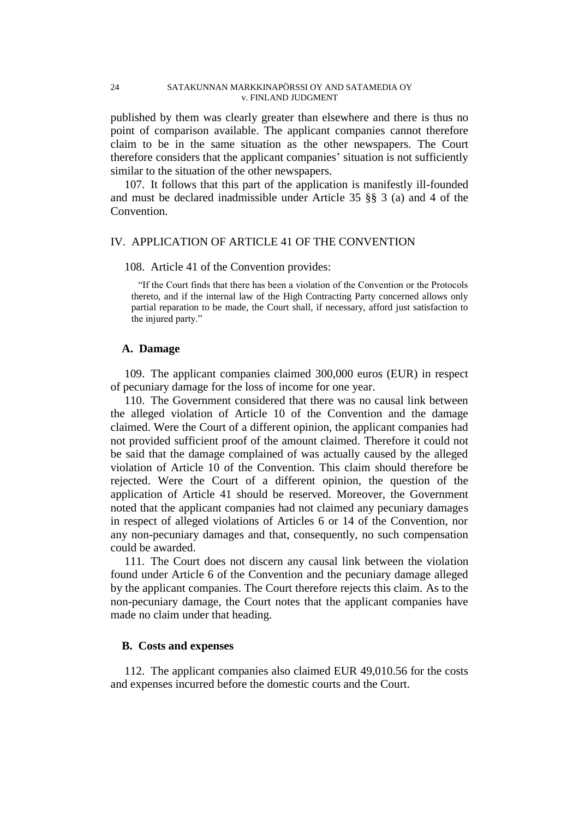published by them was clearly greater than elsewhere and there is thus no point of comparison available. The applicant companies cannot therefore claim to be in the same situation as the other newspapers. The Court therefore considers that the applicant companies' situation is not sufficiently similar to the situation of the other newspapers.

107. It follows that this part of the application is manifestly ill-founded and must be declared inadmissible under Article 35 §§ 3 (a) and 4 of the Convention.

## IV. APPLICATION OF ARTICLE 41 OF THE CONVENTION

#### 108. Article 41 of the Convention provides:

"If the Court finds that there has been a violation of the Convention or the Protocols thereto, and if the internal law of the High Contracting Party concerned allows only partial reparation to be made, the Court shall, if necessary, afford just satisfaction to the injured party."

#### **A. Damage**

109. The applicant companies claimed 300,000 euros (EUR) in respect of pecuniary damage for the loss of income for one year.

110. The Government considered that there was no causal link between the alleged violation of Article 10 of the Convention and the damage claimed. Were the Court of a different opinion, the applicant companies had not provided sufficient proof of the amount claimed. Therefore it could not be said that the damage complained of was actually caused by the alleged violation of Article 10 of the Convention. This claim should therefore be rejected. Were the Court of a different opinion, the question of the application of Article 41 should be reserved. Moreover, the Government noted that the applicant companies had not claimed any pecuniary damages in respect of alleged violations of Articles 6 or 14 of the Convention, nor any non-pecuniary damages and that, consequently, no such compensation could be awarded.

111. The Court does not discern any causal link between the violation found under Article 6 of the Convention and the pecuniary damage alleged by the applicant companies. The Court therefore rejects this claim. As to the non-pecuniary damage, the Court notes that the applicant companies have made no claim under that heading.

### **B. Costs and expenses**

112. The applicant companies also claimed EUR 49,010.56 for the costs and expenses incurred before the domestic courts and the Court.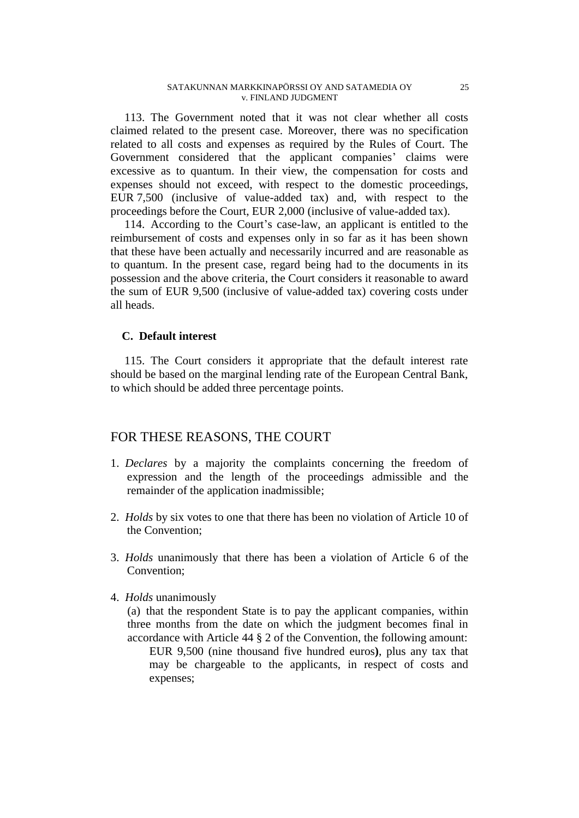113. The Government noted that it was not clear whether all costs claimed related to the present case. Moreover, there was no specification related to all costs and expenses as required by the Rules of Court. The Government considered that the applicant companies' claims were excessive as to quantum. In their view, the compensation for costs and expenses should not exceed, with respect to the domestic proceedings, EUR 7,500 (inclusive of value-added tax) and, with respect to the proceedings before the Court, EUR 2,000 (inclusive of value-added tax).

114. According to the Court's case-law, an applicant is entitled to the reimbursement of costs and expenses only in so far as it has been shown that these have been actually and necessarily incurred and are reasonable as to quantum. In the present case, regard being had to the documents in its possession and the above criteria, the Court considers it reasonable to award the sum of EUR 9,500 (inclusive of value-added tax) covering costs under all heads.

## **C. Default interest**

115. The Court considers it appropriate that the default interest rate should be based on the marginal lending rate of the European Central Bank, to which should be added three percentage points.

# FOR THESE REASONS, THE COURT

- 1. *Declares* by a majority the complaints concerning the freedom of expression and the length of the proceedings admissible and the remainder of the application inadmissible;
- 2. *Holds* by six votes to one that there has been no violation of Article 10 of the Convention;
- 3. *Holds* unanimously that there has been a violation of Article 6 of the Convention;
- 4. *Holds* unanimously

(a) that the respondent State is to pay the applicant companies, within three months from the date on which the judgment becomes final in accordance with Article 44 § 2 of the Convention, the following amount: EUR 9,500 (nine thousand five hundred euros**)**, plus any tax that may be chargeable to the applicants, in respect of costs and expenses;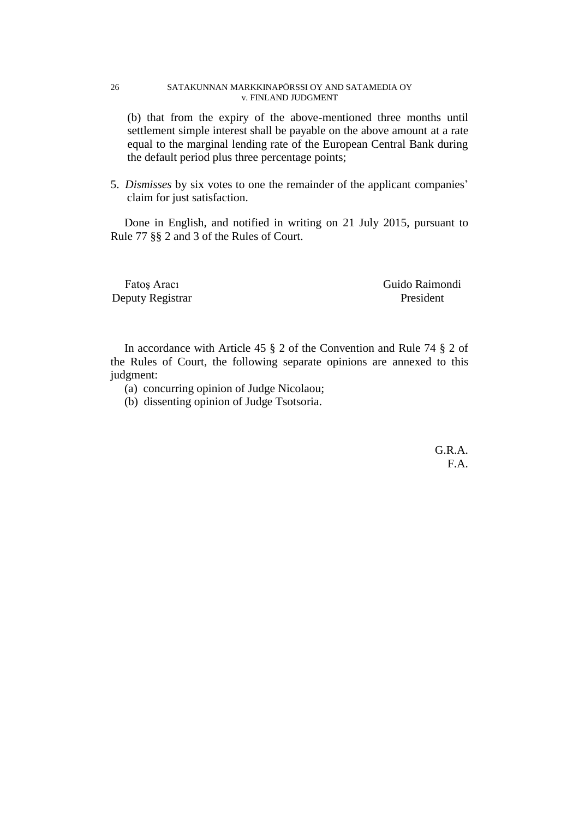#### 26 SATAKUNNAN MARKKINAPÖRSSI OY AND SATAMEDIA OY v. FINLAND JUDGMENT

(b) that from the expiry of the above-mentioned three months until settlement simple interest shall be payable on the above amount at a rate equal to the marginal lending rate of the European Central Bank during the default period plus three percentage points;

5. *Dismisses* by six votes to one the remainder of the applicant companies' claim for just satisfaction.

Done in English, and notified in writing on 21 July 2015, pursuant to Rule 77 §§ 2 and 3 of the Rules of Court.

Deputy Registrar President

Fatoş Aracı Guido Raimondi

In accordance with Article 45 § 2 of the Convention and Rule 74 § 2 of the Rules of Court, the following separate opinions are annexed to this judgment:

- (a) concurring opinion of Judge Nicolaou;
- (b) dissenting opinion of Judge Tsotsoria.

G.R.A. F.A.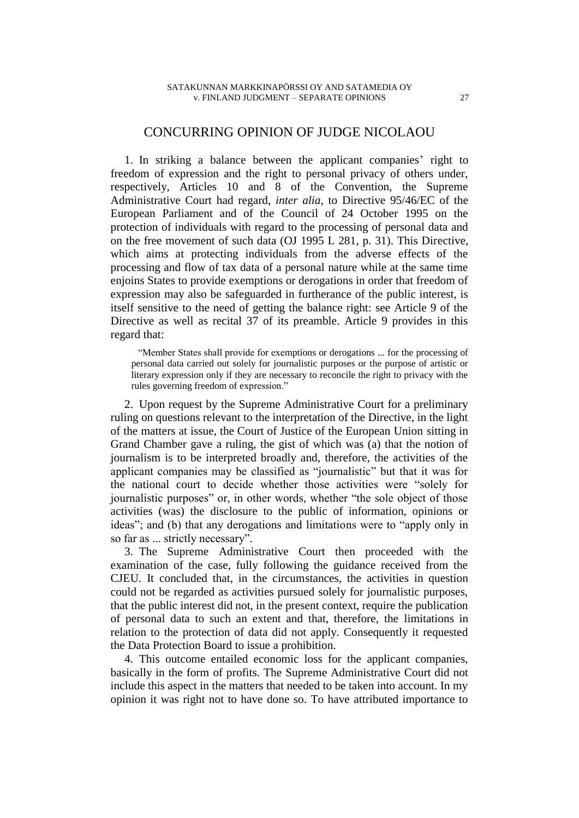## CONCURRING OPINION OF JUDGE NICOLAOU

1. In striking a balance between the applicant companies' right to freedom of expression and the right to personal privacy of others under, respectively, Articles 10 and 8 of the Convention, the Supreme Administrative Court had regard, *inter alia*, to Directive 95/46/EC of the European Parliament and of the Council of 24 October 1995 on the protection of individuals with regard to the processing of personal data and on the free movement of such data (OJ 1995 L 281, p. 31). This Directive, which aims at protecting individuals from the adverse effects of the processing and flow of tax data of a personal nature while at the same time enjoins States to provide exemptions or derogations in order that freedom of expression may also be safeguarded in furtherance of the public interest, is itself sensitive to the need of getting the balance right: see Article 9 of the Directive as well as recital 37 of its preamble. Article 9 provides in this regard that:

"Member States shall provide for exemptions or derogations ... for the processing of personal data carried out solely for journalistic purposes or the purpose of artistic or literary expression only if they are necessary to reconcile the right to privacy with the rules governing freedom of expression."

2. Upon request by the Supreme Administrative Court for a preliminary ruling on questions relevant to the interpretation of the Directive, in the light of the matters at issue, the Court of Justice of the European Union sitting in Grand Chamber gave a ruling, the gist of which was (a) that the notion of journalism is to be interpreted broadly and, therefore, the activities of the applicant companies may be classified as "journalistic" but that it was for the national court to decide whether those activities were "solely for journalistic purposes" or, in other words, whether "the sole object of those activities (was) the disclosure to the public of information, opinions or ideas"; and (b) that any derogations and limitations were to "apply only in so far as ... strictly necessary".

3. The Supreme Administrative Court then proceeded with the examination of the case, fully following the guidance received from the CJEU. It concluded that, in the circumstances, the activities in question could not be regarded as activities pursued solely for journalistic purposes, that the public interest did not, in the present context, require the publication of personal data to such an extent and that, therefore, the limitations in relation to the protection of data did not apply. Consequently it requested the Data Protection Board to issue a prohibition.

4. This outcome entailed economic loss for the applicant companies, basically in the form of profits. The Supreme Administrative Court did not include this aspect in the matters that needed to be taken into account. In my opinion it was right not to have done so. To have attributed importance to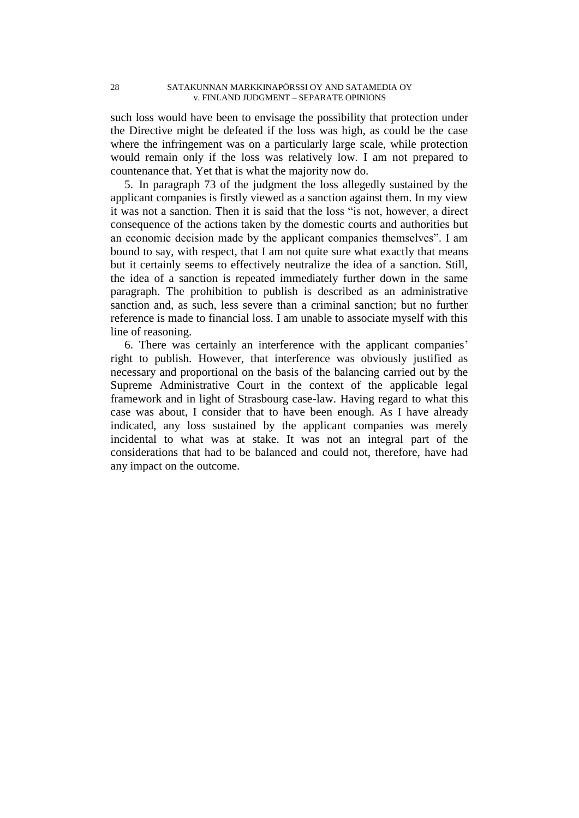#### 28 SATAKUNNAN MARKKINAPÖRSSI OY AND SATAMEDIA OY v. FINLAND JUDGMENT – SEPARATE OPINIONS

such loss would have been to envisage the possibility that protection under the Directive might be defeated if the loss was high, as could be the case where the infringement was on a particularly large scale, while protection would remain only if the loss was relatively low. I am not prepared to countenance that. Yet that is what the majority now do.

5. In paragraph 73 of the judgment the loss allegedly sustained by the applicant companies is firstly viewed as a sanction against them. In my view it was not a sanction. Then it is said that the loss "is not, however, a direct consequence of the actions taken by the domestic courts and authorities but an economic decision made by the applicant companies themselves". I am bound to say, with respect, that I am not quite sure what exactly that means but it certainly seems to effectively neutralize the idea of a sanction. Still, the idea of a sanction is repeated immediately further down in the same paragraph. The prohibition to publish is described as an administrative sanction and, as such, less severe than a criminal sanction; but no further reference is made to financial loss. I am unable to associate myself with this line of reasoning.

6. There was certainly an interference with the applicant companies' right to publish. However, that interference was obviously justified as necessary and proportional on the basis of the balancing carried out by the Supreme Administrative Court in the context of the applicable legal framework and in light of Strasbourg case-law. Having regard to what this case was about, I consider that to have been enough. As I have already indicated, any loss sustained by the applicant companies was merely incidental to what was at stake. It was not an integral part of the considerations that had to be balanced and could not, therefore, have had any impact on the outcome.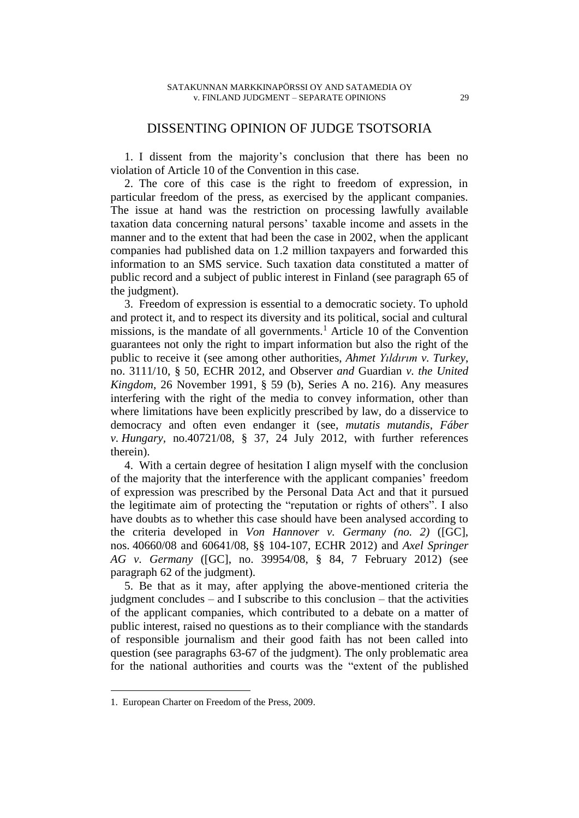## DISSENTING OPINION OF JUDGE TSOTSORIA

1. I dissent from the majority's conclusion that there has been no violation of Article 10 of the Convention in this case.

2. The core of this case is the right to freedom of expression, in particular freedom of the press, as exercised by the applicant companies. The issue at hand was the restriction on processing lawfully available taxation data concerning natural persons' taxable income and assets in the manner and to the extent that had been the case in 2002, when the applicant companies had published data on 1.2 million taxpayers and forwarded this information to an SMS service. Such taxation data constituted a matter of public record and a subject of public interest in Finland (see paragraph 65 of the judgment).

3. Freedom of expression is essential to a democratic society. To uphold and protect it, and to respect its diversity and its political, social and cultural missions, is the mandate of all governments.<sup>1</sup> Article 10 of the Convention guarantees not only the right to impart information but also the right of the public to receive it (see among other authorities, *Ahmet Yıldırım v. Turkey*, no. 3111/10, § 50, ECHR 2012, and Observer *and* Guardian *v. the United Kingdom*, 26 November 1991, § 59 (b), Series A no. 216). Any measures interfering with the right of the media to convey information, other than where limitations have been explicitly prescribed by law, do a disservice to democracy and often even endanger it (see, *mutatis mutandis*, *Fáber v. Hungary,* no.40721/08, § 37, 24 July 2012, with further references therein).

4. With a certain degree of hesitation I align myself with the conclusion of the majority that the interference with the applicant companies' freedom of expression was prescribed by the Personal Data Act and that it pursued the legitimate aim of protecting the "reputation or rights of others". I also have doubts as to whether this case should have been analysed according to the criteria developed in *Von Hannover v. Germany (no. 2)* ([GC], nos. 40660/08 and 60641/08, §§ 104-107, ECHR 2012) and *Axel Springer AG v. Germany* ([GC], no. 39954/08, § 84, 7 February 2012) (see paragraph 62 of the judgment).

5. Be that as it may, after applying the above-mentioned criteria the judgment concludes – and I subscribe to this conclusion – that the activities of the applicant companies, which contributed to a debate on a matter of public interest, raised no questions as to their compliance with the standards of responsible journalism and their good faith has not been called into question (see paragraphs 63-67 of the judgment). The only problematic area for the national authorities and courts was the "extent of the published

 $\overline{a}$ 

<sup>1.</sup> European Charter on Freedom of the Press, 2009.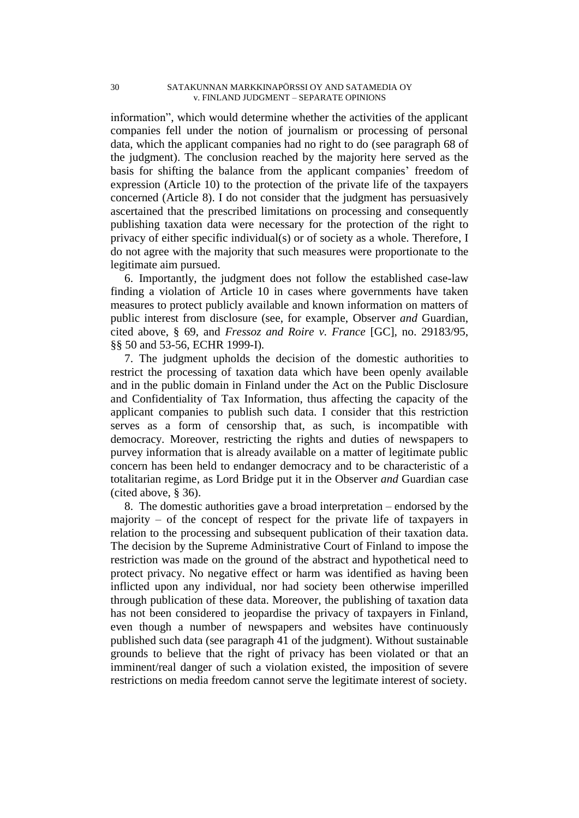information", which would determine whether the activities of the applicant companies fell under the notion of journalism or processing of personal data, which the applicant companies had no right to do (see paragraph 68 of the judgment). The conclusion reached by the majority here served as the basis for shifting the balance from the applicant companies' freedom of expression (Article 10) to the protection of the private life of the taxpayers concerned (Article 8). I do not consider that the judgment has persuasively ascertained that the prescribed limitations on processing and consequently publishing taxation data were necessary for the protection of the right to privacy of either specific individual(s) or of society as a whole. Therefore, I do not agree with the majority that such measures were proportionate to the legitimate aim pursued.

6. Importantly, the judgment does not follow the established case-law finding a violation of Article 10 in cases where governments have taken measures to protect publicly available and known information on matters of public interest from disclosure (see, for example, Observer *and* Guardian, cited above, § 69, and *Fressoz and Roire v. France* [GC], no. 29183/95, §§ 50 and 53-56, ECHR 1999-I)*.*

7. The judgment upholds the decision of the domestic authorities to restrict the processing of taxation data which have been openly available and in the public domain in Finland under the Act on the Public Disclosure and Confidentiality of Tax Information, thus affecting the capacity of the applicant companies to publish such data. I consider that this restriction serves as a form of censorship that, as such, is incompatible with democracy. Moreover, restricting the rights and duties of newspapers to purvey information that is already available on a matter of legitimate public concern has been held to endanger democracy and to be characteristic of a totalitarian regime, as Lord Bridge put it in the Observer *and* Guardian case (cited above, § 36).

8. The domestic authorities gave a broad interpretation – endorsed by the majority – of the concept of respect for the private life of taxpayers in relation to the processing and subsequent publication of their taxation data. The decision by the Supreme Administrative Court of Finland to impose the restriction was made on the ground of the abstract and hypothetical need to protect privacy. No negative effect or harm was identified as having been inflicted upon any individual, nor had society been otherwise imperilled through publication of these data. Moreover, the publishing of taxation data has not been considered to jeopardise the privacy of taxpayers in Finland, even though a number of newspapers and websites have continuously published such data (see paragraph 41 of the judgment). Without sustainable grounds to believe that the right of privacy has been violated or that an imminent/real danger of such a violation existed, the imposition of severe restrictions on media freedom cannot serve the legitimate interest of society.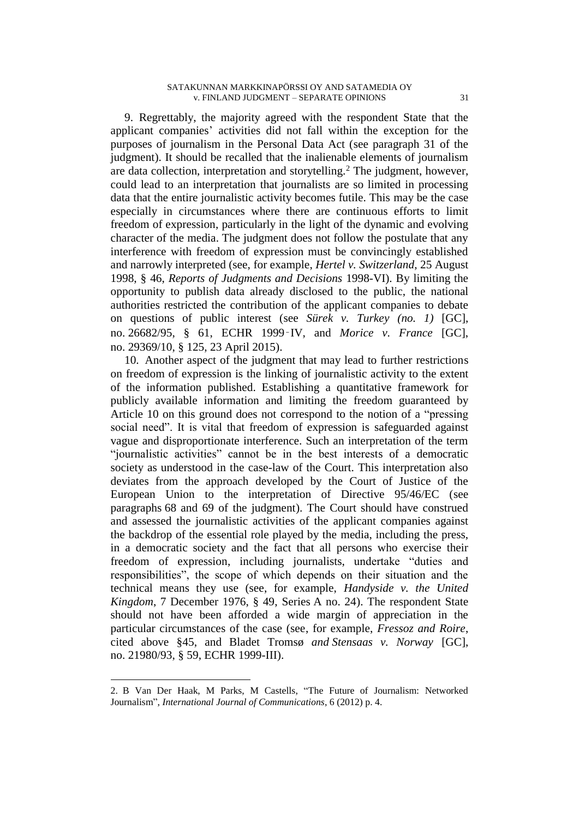9. Regrettably, the majority agreed with the respondent State that the applicant companies' activities did not fall within the exception for the purposes of journalism in the Personal Data Act (see paragraph 31 of the judgment). It should be recalled that the inalienable elements of journalism are data collection, interpretation and storytelling.<sup>2</sup> The judgment, however, could lead to an interpretation that journalists are so limited in processing data that the entire journalistic activity becomes futile. This may be the case especially in circumstances where there are continuous efforts to limit freedom of expression, particularly in the light of the dynamic and evolving character of the media. The judgment does not follow the postulate that any interference with freedom of expression must be convincingly established and narrowly interpreted (see, for example, *Hertel v. Switzerland*, 25 August 1998, § 46, *Reports of Judgments and Decisions* 1998-VI). By limiting the opportunity to publish data already disclosed to the public, the national authorities restricted the contribution of the applicant companies to debate on questions of public interest (see *Sürek v. Turkey (no. 1)* [GC], no. 26682/95, § 61, ECHR 1999‑IV, and *Morice v. France* [GC], no. 29369/10, § 125, 23 April 2015).

10. Another aspect of the judgment that may lead to further restrictions on freedom of expression is the linking of journalistic activity to the extent of the information published. Establishing a quantitative framework for publicly available information and limiting the freedom guaranteed by Article 10 on this ground does not correspond to the notion of a "pressing social need". It is vital that freedom of expression is safeguarded against vague and disproportionate interference. Such an interpretation of the term "journalistic activities" cannot be in the best interests of a democratic society as understood in the case-law of the Court. This interpretation also deviates from the approach developed by the Court of Justice of the European Union to the interpretation of Directive 95/46/EC (see paragraphs 68 and 69 of the judgment). The Court should have construed and assessed the journalistic activities of the applicant companies against the backdrop of the essential role played by the media, including the press, in a democratic society and the fact that all persons who exercise their freedom of expression, including journalists, undertake "duties and responsibilities", the scope of which depends on their situation and the technical means they use (see, for example, *Handyside v. the United Kingdom*, 7 December 1976, § 49, Series A no. 24). The respondent State should not have been afforded a wide margin of appreciation in the particular circumstances of the case (see, for example, *Fressoz and Roire*, cited above §45, and Bladet Tromsø *and Stensaas v. Norway* [GC], no. 21980/93, § 59, ECHR 1999-III).

 $\overline{a}$ 

<sup>2.</sup> B Van Der Haak, M Parks, M Castells, "The Future of Journalism: Networked Journalism", *International Journal of Communications*, 6 (2012) p. 4.